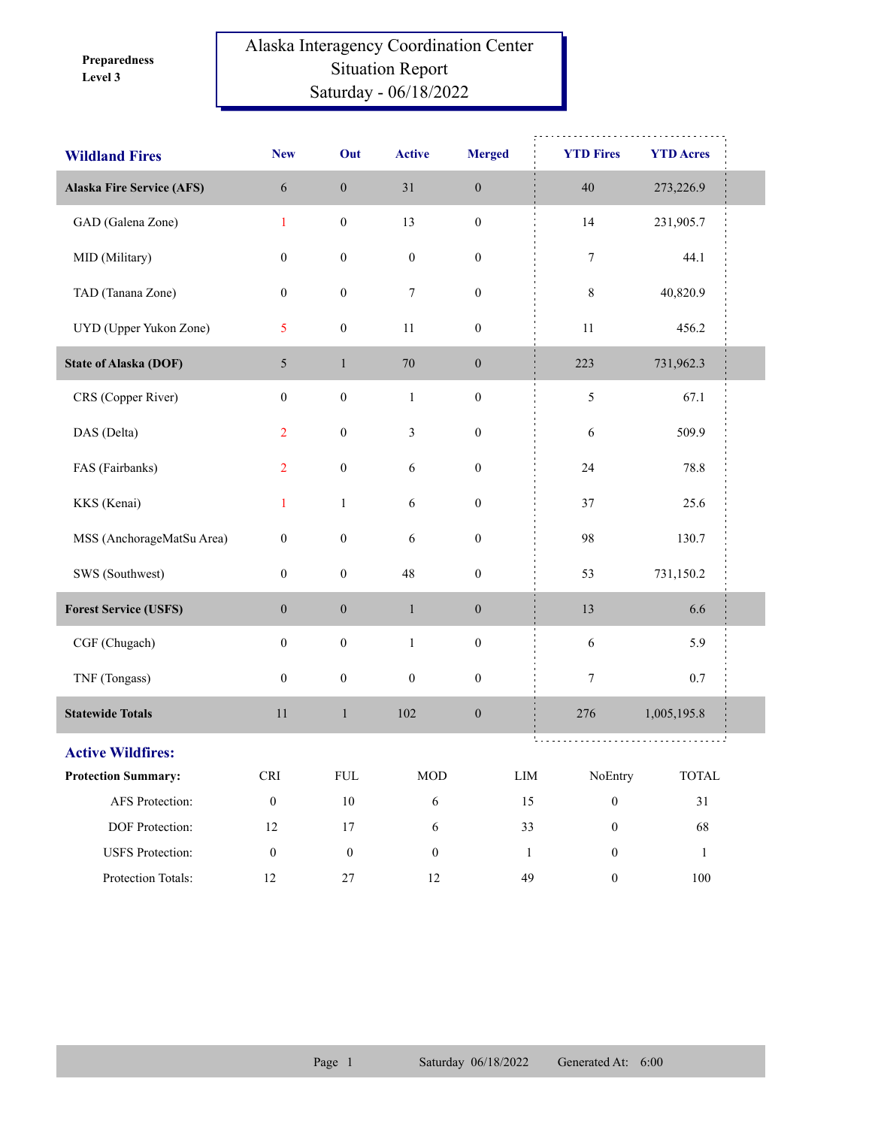**Level 3 Preparedness** 

## Alaska Interagency Coordination Center Situation Report Saturday - 06/18/2022

| <b>Wildland Fires</b>            | <b>New</b>                  | Out              | <b>Active</b>    | <b>Merged</b>    | <b>YTD Fires</b>             | <b>YTD Acres</b>       |  |
|----------------------------------|-----------------------------|------------------|------------------|------------------|------------------------------|------------------------|--|
| <b>Alaska Fire Service (AFS)</b> | $\sqrt{6}$                  | $\boldsymbol{0}$ | 31               | $\boldsymbol{0}$ | 40                           | 273,226.9              |  |
| GAD (Galena Zone)                | $\mathbf{1}$                | $\boldsymbol{0}$ | 13               | $\boldsymbol{0}$ | 14                           | 231,905.7              |  |
| MID (Military)                   | $\boldsymbol{0}$            | $\boldsymbol{0}$ | $\boldsymbol{0}$ | $\boldsymbol{0}$ | $\boldsymbol{7}$             | 44.1                   |  |
| TAD (Tanana Zone)                | $\boldsymbol{0}$            | $\boldsymbol{0}$ | 7                | $\boldsymbol{0}$ | 8                            | 40,820.9               |  |
| UYD (Upper Yukon Zone)           | 5                           | $\boldsymbol{0}$ | $11\,$           | $\boldsymbol{0}$ | 11                           | 456.2                  |  |
| <b>State of Alaska (DOF)</b>     | $5\overline{)}$             | $\mathbf{1}$     | 70               | $\boldsymbol{0}$ | 223                          | 731,962.3              |  |
| CRS (Copper River)               | $\boldsymbol{0}$            | $\boldsymbol{0}$ | $\mathbf{1}$     | $\boldsymbol{0}$ | $\sqrt{5}$                   | 67.1                   |  |
| DAS (Delta)                      | $\overline{2}$              | $\boldsymbol{0}$ | $\mathfrak{Z}$   | $\boldsymbol{0}$ | 6                            | 509.9                  |  |
| FAS (Fairbanks)                  | $\overline{2}$              | $\boldsymbol{0}$ | $\sqrt{6}$       | $\boldsymbol{0}$ | 24                           | 78.8                   |  |
| KKS (Kenai)                      | $\mathbf{1}$                | $\mathbf{1}$     | 6                | $\boldsymbol{0}$ | 37                           | 25.6                   |  |
| MSS (AnchorageMatSu Area)        | $\boldsymbol{0}$            | $\boldsymbol{0}$ | 6                | $\boldsymbol{0}$ | 98                           | 130.7                  |  |
| SWS (Southwest)                  | $\boldsymbol{0}$            | $\boldsymbol{0}$ | 48               | $\boldsymbol{0}$ | 53                           | 731,150.2              |  |
| <b>Forest Service (USFS)</b>     | $\boldsymbol{0}$            | $\boldsymbol{0}$ | $\,1\,$          | $\boldsymbol{0}$ | 13                           | 6.6                    |  |
| CGF (Chugach)                    | $\boldsymbol{0}$            | $\boldsymbol{0}$ | $\mathbf 1$      | $\boldsymbol{0}$ | $\sqrt{6}$                   | 5.9                    |  |
| TNF (Tongass)                    | $\boldsymbol{0}$            | $\boldsymbol{0}$ | $\boldsymbol{0}$ | $\boldsymbol{0}$ | $\tau$                       | 0.7                    |  |
| <b>Statewide Totals</b>          | 11                          | $\,1$            | 102              | $\boldsymbol{0}$ | 276                          | 1,005,195.8            |  |
| <b>Active Wildfires:</b>         |                             |                  |                  |                  | .                            |                        |  |
| <b>Protection Summary:</b>       | $\ensuremath{\mathsf{CRI}}$ | ${\rm FUL}$      | <b>MOD</b>       |                  | ${\rm LIM}$<br>NoEntry       | $\operatorname{TOTAL}$ |  |
| AFS Protection:                  | $\boldsymbol{0}$            | $10\,$           | $\sqrt{6}$       |                  | 15<br>$\boldsymbol{0}$       | 31                     |  |
| DOF Protection:                  | $12\,$                      | 17               | $\sqrt{6}$       |                  | 33<br>$\boldsymbol{0}$       | 68                     |  |
| <b>USFS</b> Protection:          | $\boldsymbol{0}$            | $\boldsymbol{0}$ | $\boldsymbol{0}$ |                  | $\mathbf{1}$<br>$\mathbf{0}$ | $\mathbf{1}$           |  |
| Protection Totals:               | 12                          | $27\,$           | 12               |                  | 49<br>$\boldsymbol{0}$       | 100                    |  |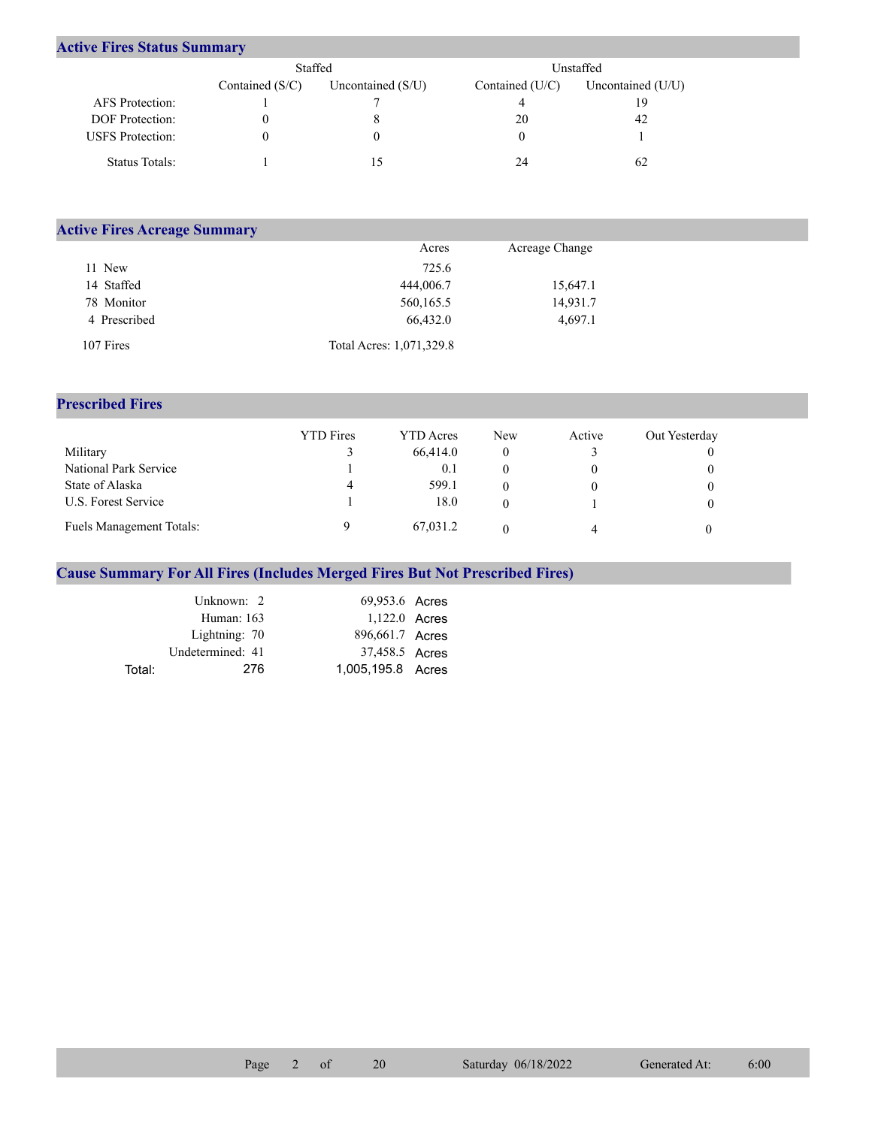## **Active Fires Status Summary**

|                         | Staffed           |                     | Unstaffed         |                     |  |
|-------------------------|-------------------|---------------------|-------------------|---------------------|--|
|                         | Contained $(S/C)$ | Uncontained $(S/U)$ | Contained $(U/C)$ | Uncontained $(U/U)$ |  |
| AFS Protection:         |                   |                     |                   | 19                  |  |
| <b>DOF</b> Protection:  |                   |                     | 20                | 42                  |  |
| <b>USFS</b> Protection: |                   |                     |                   |                     |  |
| Status Totals:          |                   |                     | 24                | 62                  |  |

| <b>Active Fires Acreage Summary</b> |                          |                |  |  |  |  |  |  |  |
|-------------------------------------|--------------------------|----------------|--|--|--|--|--|--|--|
|                                     | Acres                    | Acreage Change |  |  |  |  |  |  |  |
| 11 New                              | 725.6                    |                |  |  |  |  |  |  |  |
| 14 Staffed                          | 444,006.7                | 15,647.1       |  |  |  |  |  |  |  |
| 78 Monitor                          | 560,165.5                | 14,931.7       |  |  |  |  |  |  |  |
| 4 Prescribed                        | 66,432.0                 | 4,697.1        |  |  |  |  |  |  |  |
| 107 Fires                           | Total Acres: 1,071,329.8 |                |  |  |  |  |  |  |  |

## **Prescribed Fires**

|                          | <b>YTD</b> Fires | YTD Acres | New | Active | Out Yesterday |
|--------------------------|------------------|-----------|-----|--------|---------------|
| Military                 |                  | 66,414.0  |     |        |               |
| National Park Service    |                  | 0.1       |     |        |               |
| State of Alaska          | 4                | 599.1     |     |        |               |
| U.S. Forest Service      |                  | 18.0      |     |        |               |
| Fuels Management Totals: |                  | 67,031.2  |     | 4      |               |

## **Cause Summary For All Fires (Includes Merged Fires But Not Prescribed Fires)**

|        | Unknown: 2       | 69,953.6 Acres    |  |
|--------|------------------|-------------------|--|
|        | Human: $163$     | 1,122.0 Acres     |  |
|        | Lightning: 70    | 896,661.7 Acres   |  |
|        | Undetermined: 41 | 37,458.5 Acres    |  |
| Total: | 276              | 1,005,195.8 Acres |  |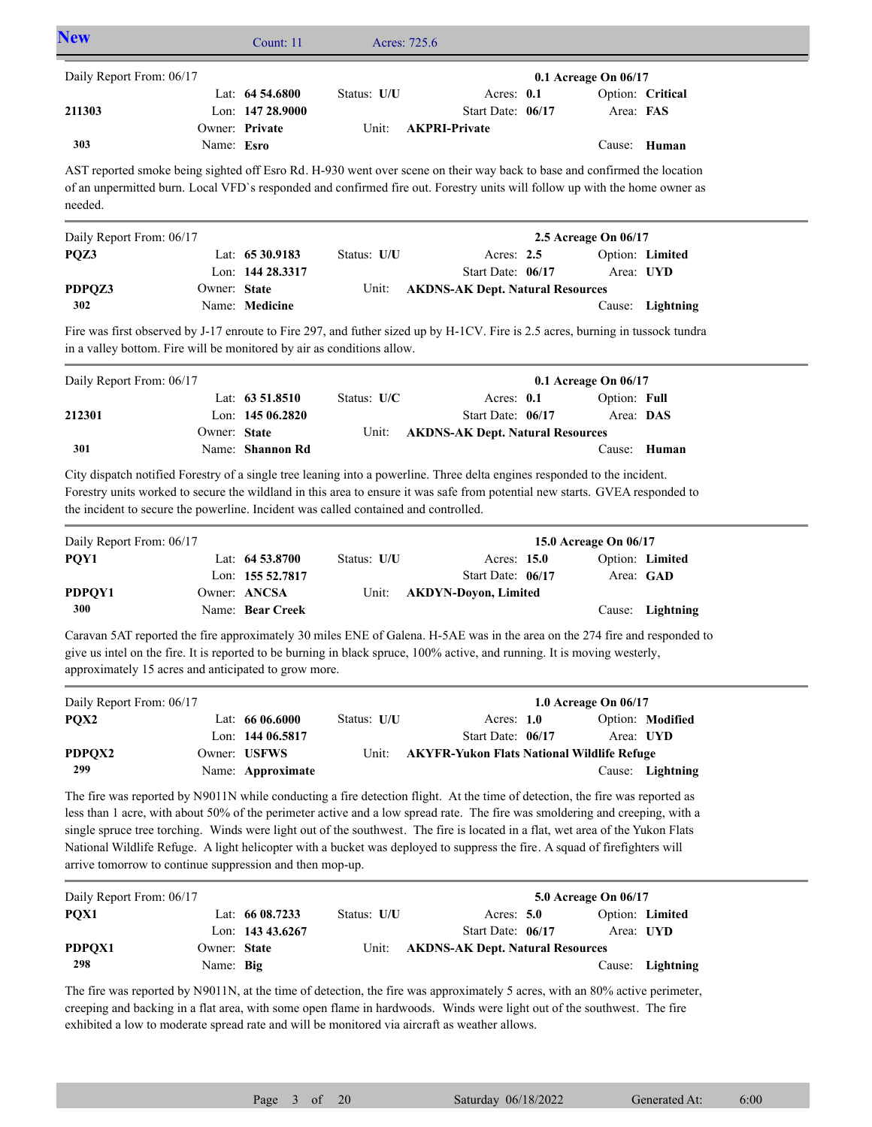| <b>New</b>                                         |            | Count: $11$        | Acres: 725.6 |                      |  |           |                  |  |
|----------------------------------------------------|------------|--------------------|--------------|----------------------|--|-----------|------------------|--|
| Daily Report From: 06/17<br>0.1 Acreage On $06/17$ |            |                    |              |                      |  |           |                  |  |
|                                                    |            | Lat: $64\,54.6800$ | Status: U/U  | Acres: $0.1$         |  |           | Option: Critical |  |
| 211303                                             |            | Lon: $14728.9000$  |              | Start Date: 06/17    |  | Area: FAS |                  |  |
|                                                    |            | Owner: Private     | Unit:        | <b>AKPRI-Private</b> |  |           |                  |  |
| 303                                                | Name: Esro |                    |              |                      |  |           | Cause: Human     |  |

AST reported smoke being sighted off Esro Rd. H-930 went over scene on their way back to base and confirmed the location of an unpermitted burn. Local VFD`s responded and confirmed fire out. Forestry units will follow up with the home owner as needed.

| Daily Report From: 06/17 |              |                   |             |                                        | 2.5 Acreage On $06/17$ |                  |
|--------------------------|--------------|-------------------|-------------|----------------------------------------|------------------------|------------------|
| POZ3                     |              | Lat: $6530.9183$  | Status: U/U | Acres: $2.5$                           |                        | Option: Limited  |
|                          |              | Lon: $14428.3317$ |             | Start Date: 06/17                      |                        | Area: UYD        |
| PDPOZ3                   | Owner: State |                   |             | Unit: AKDNS-AK Dept. Natural Resources |                        |                  |
| 302                      |              | Name: Medicine    |             |                                        |                        | Cause: Lightning |

Fire was first observed by J-17 enroute to Fire 297, and futher sized up by H-1CV. Fire is 2.5 acres, burning in tussock tundra in a valley bottom. Fire will be monitored by air as conditions allow.

| Daily Report From: 06/17 |              |                    |               |                                         | $0.1$ Acreage On $06/17$ |              |
|--------------------------|--------------|--------------------|---------------|-----------------------------------------|--------------------------|--------------|
|                          |              | Lat: $63\,51.8510$ | Status: $U/C$ | Acres: $0.1$                            | Option: Full             |              |
| 212301                   |              | Lon: $14506.2820$  |               | Start Date: 06/17                       | Area: DAS                |              |
|                          | Owner: State |                    | Unit:         | <b>AKDNS-AK Dept. Natural Resources</b> |                          |              |
| 301                      |              | Name: Shannon Rd   |               |                                         |                          | Cause: Human |
|                          |              |                    |               |                                         |                          |              |

City dispatch notified Forestry of a single tree leaning into a powerline. Three delta engines responded to the incident. Forestry units worked to secure the wildland in this area to ensure it was safe from potential new starts. GVEA responded to the incident to secure the powerline. Incident was called contained and controlled.

| Daily Report From: 06/17 |                    | 15.0 Acreage On 06/17 |                      |  |           |                  |
|--------------------------|--------------------|-----------------------|----------------------|--|-----------|------------------|
| POY1                     | Lat: $64\,53.8700$ | Status: U/U           | Acres: 15.0          |  |           | Option: Limited  |
|                          | Lon: 155 52.7817   |                       | Start Date: 06/17    |  | Area: GAD |                  |
| PDPOY1                   | Owner: ANCSA       | Unit:                 | AKDYN-Dovon, Limited |  |           |                  |
| 300                      | Name: Bear Creek   |                       |                      |  |           | Cause: Lightning |

Caravan 5AT reported the fire approximately 30 miles ENE of Galena. H-5AE was in the area on the 274 fire and responded to give us intel on the fire. It is reported to be burning in black spruce, 100% active, and running. It is moving westerly, approximately 15 acres and anticipated to grow more.

| Daily Report From: 06/17 |                   |             |                                            | 1.0 Acreage On $06/17$ |                  |
|--------------------------|-------------------|-------------|--------------------------------------------|------------------------|------------------|
| POX <sub>2</sub>         | Lat: $6606.6000$  | Status: U/U | Acres: $1.0$                               |                        | Option: Modified |
|                          | Lon: $14406.5817$ |             | Start Date: 06/17                          | Area: UYD              |                  |
| PDPOX2                   | Owner: USFWS      | Unit:       | AKYFR-Yukon Flats National Wildlife Refuge |                        |                  |
| 299                      | Name: Approximate |             |                                            |                        | Cause: Lightning |

The fire was reported by N9011N while conducting a fire detection flight. At the time of detection, the fire was reported as less than 1 acre, with about 50% of the perimeter active and a low spread rate. The fire was smoldering and creeping, with a single spruce tree torching. Winds were light out of the southwest. The fire is located in a flat, wet area of the Yukon Flats National Wildlife Refuge. A light helicopter with a bucket was deployed to suppress the fire. A squad of firefighters will arrive tomorrow to continue suppression and then mop-up.

| Daily Report From: 06/17 |              |                     |             |                                         | 5.0 Acreage On 06/17 |                  |
|--------------------------|--------------|---------------------|-------------|-----------------------------------------|----------------------|------------------|
| POX <sub>1</sub>         |              | Lat: $6608.7233$    | Status: U/U | Acres: $5.0$                            |                      | Option: Limited  |
|                          |              | Lon: $143\,43.6267$ |             | Start Date: 06/17                       | Area: UYD            |                  |
| PDPOX1                   | Owner: State |                     | Unit:       | <b>AKDNS-AK Dept. Natural Resources</b> |                      |                  |
| 298                      | Name: Big    |                     |             |                                         |                      | Cause: Lightning |

The fire was reported by N9011N, at the time of detection, the fire was approximately 5 acres, with an 80% active perimeter, creeping and backing in a flat area, with some open flame in hardwoods. Winds were light out of the southwest. The fire exhibited a low to moderate spread rate and will be monitored via aircraft as weather allows.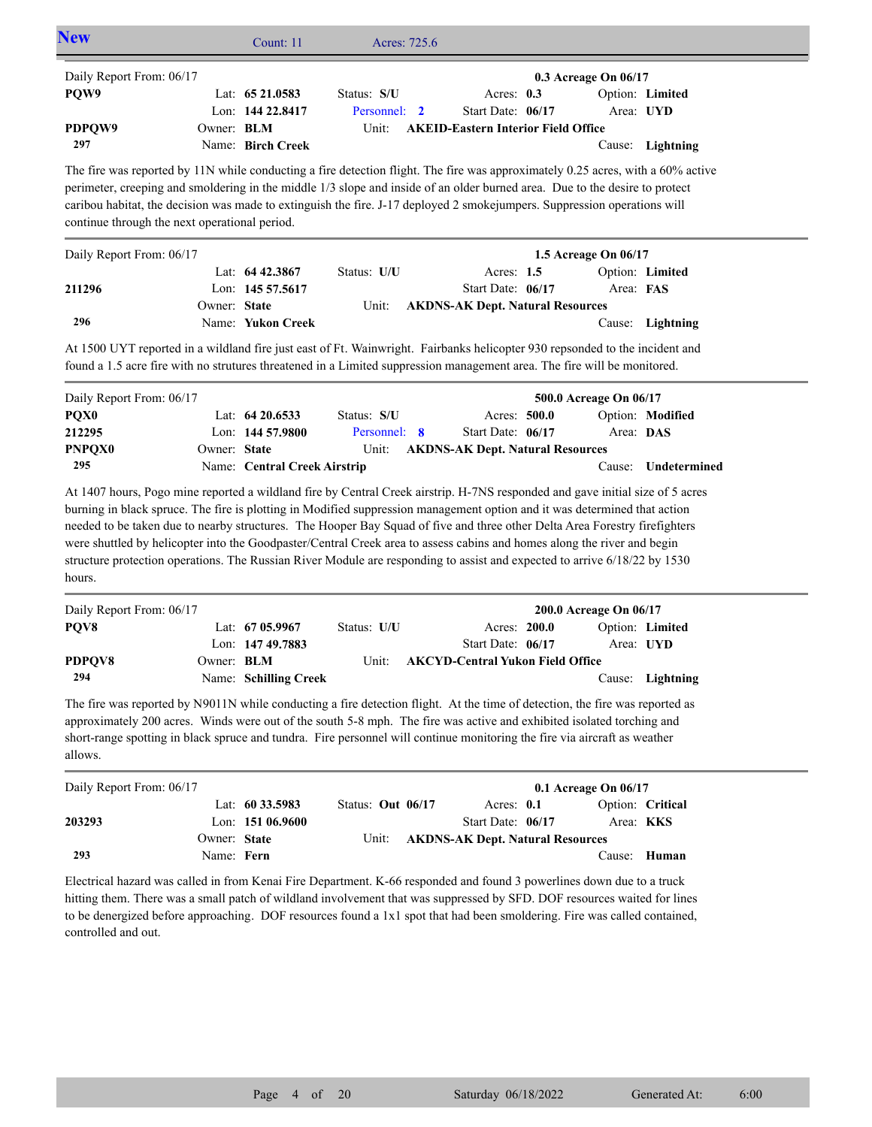| <b>New</b>                                                                                                                                                                                                                                                                                                                                                                                                                                                                                                                                                                                                                                                 |              | Count: 11                                                                  | Acres: 725.6                         |                                                                              |                                               |                                  |
|------------------------------------------------------------------------------------------------------------------------------------------------------------------------------------------------------------------------------------------------------------------------------------------------------------------------------------------------------------------------------------------------------------------------------------------------------------------------------------------------------------------------------------------------------------------------------------------------------------------------------------------------------------|--------------|----------------------------------------------------------------------------|--------------------------------------|------------------------------------------------------------------------------|-----------------------------------------------|----------------------------------|
| Daily Report From: 06/17<br>PQW9                                                                                                                                                                                                                                                                                                                                                                                                                                                                                                                                                                                                                           |              | Lat: 65 21.0583                                                            | Status: S/U                          | Acres: 0.3                                                                   | 0.3 Acreage On 06/17                          | Option: Limited                  |
| PDPQW9<br>297                                                                                                                                                                                                                                                                                                                                                                                                                                                                                                                                                                                                                                              | Owner: BLM   | Lon: 144 22.8417<br>Name: Birch Creek                                      | Personnel: 2<br>Unit:                | Start Date: 06/17<br><b>AKEID-Eastern Interior Field Office</b>              |                                               | Area: UYD<br>Cause: Lightning    |
| The fire was reported by 11N while conducting a fire detection flight. The fire was approximately 0.25 acres, with a 60% active<br>perimeter, creeping and smoldering in the middle 1/3 slope and inside of an older burned area. Due to the desire to protect<br>caribou habitat, the decision was made to extinguish the fire. J-17 deployed 2 smokejumpers. Suppression operations will<br>continue through the next operational period.                                                                                                                                                                                                                |              |                                                                            |                                      |                                                                              |                                               |                                  |
| Daily Report From: 06/17                                                                                                                                                                                                                                                                                                                                                                                                                                                                                                                                                                                                                                   |              |                                                                            |                                      |                                                                              | 1.5 Acreage On 06/17                          |                                  |
| 211296                                                                                                                                                                                                                                                                                                                                                                                                                                                                                                                                                                                                                                                     | Owner: State | Lat: $64\,42.3867$<br>Lon: 145 57.5617                                     | Status: U/U<br>Unit:                 | Acres: 1.5<br>Start Date: 06/17<br><b>AKDNS-AK Dept. Natural Resources</b>   | Area: FAS                                     | Option: Limited                  |
| 296                                                                                                                                                                                                                                                                                                                                                                                                                                                                                                                                                                                                                                                        |              | Name: Yukon Creek                                                          |                                      |                                                                              |                                               | Cause: Lightning                 |
| At 1500 UYT reported in a wildland fire just east of Ft. Wainwright. Fairbanks helicopter 930 repsonded to the incident and<br>found a 1.5 acre fire with no strutures threatened in a Limited suppression management area. The fire will be monitored.                                                                                                                                                                                                                                                                                                                                                                                                    |              |                                                                            |                                      |                                                                              |                                               |                                  |
| Daily Report From: 06/17<br>PQX <sub>0</sub><br>212295<br><b>PNPQX0</b><br>295                                                                                                                                                                                                                                                                                                                                                                                                                                                                                                                                                                             | Owner: State | Lat: $64\,20.6533$<br>Lon: $144, 57, 9800$<br>Name: Central Creek Airstrip | Status: S/U<br>Personnel: 8<br>Unit: | Acres: 500.0<br>Start Date: 06/17<br><b>AKDNS-AK Dept. Natural Resources</b> | 500.0 Acreage On 06/17<br>Area: DAS<br>Cause: | Option: Modified<br>Undetermined |
| At 1407 hours, Pogo mine reported a wildland fire by Central Creek airstrip. H-7NS responded and gave initial size of 5 acres<br>burning in black spruce. The fire is plotting in Modified suppression management option and it was determined that action<br>needed to be taken due to nearby structures. The Hooper Bay Squad of five and three other Delta Area Forestry firefighters<br>were shuttled by helicopter into the Goodpaster/Central Creek area to assess cabins and homes along the river and begin<br>structure protection operations. The Russian River Module are responding to assist and expected to arrive 6/18/22 by 1530<br>hours. |              |                                                                            |                                      |                                                                              |                                               |                                  |
| Daily Report From: 06/17                                                                                                                                                                                                                                                                                                                                                                                                                                                                                                                                                                                                                                   |              |                                                                            |                                      |                                                                              | 200.0 Acreage On 06/17                        |                                  |
| PQV8<br>PDPQV8                                                                                                                                                                                                                                                                                                                                                                                                                                                                                                                                                                                                                                             | Owner: BLM   | Lat: 67 05.9967<br>Lon: 147 49.7883                                        | Status: U/U<br>Unit:                 | Acres: 200.0<br>Start Date: 06/17<br><b>AKCYD-Central Yukon Field Office</b> |                                               | Option: Limited<br>Area: UYD     |
| 294                                                                                                                                                                                                                                                                                                                                                                                                                                                                                                                                                                                                                                                        |              | Name: Schilling Creek                                                      |                                      |                                                                              |                                               | Cause: Lightning                 |
| The fire was reported by N9011N while conducting a fire detection flight. At the time of detection, the fire was reported as<br>approximately 200 acres. Winds were out of the south 5-8 mph. The fire was active and exhibited isolated torching and<br>short-range spotting in black spruce and tundra. Fire personnel will continue monitoring the fire via aircraft as weather<br>allows.                                                                                                                                                                                                                                                              |              |                                                                            |                                      |                                                                              |                                               |                                  |
| Daily Report From: 06/17                                                                                                                                                                                                                                                                                                                                                                                                                                                                                                                                                                                                                                   |              |                                                                            |                                      |                                                                              | 0.1 Acreage On 06/17                          |                                  |
| 203293                                                                                                                                                                                                                                                                                                                                                                                                                                                                                                                                                                                                                                                     | Owner: State | Lat: 60 33.5983<br>Lon: 151 06.9600                                        | Status: Out 06/17<br>Unit:           | Acres: 0.1<br>Start Date: 06/17<br><b>AKDNS-AK Dept. Natural Resources</b>   |                                               | Option: Critical<br>Area: KKS    |
| 293                                                                                                                                                                                                                                                                                                                                                                                                                                                                                                                                                                                                                                                        | Name: Fern   |                                                                            |                                      |                                                                              |                                               | Cause: Human                     |
| Electrical hazard was called in from Kenai Fire Department. K-66 responded and found 3 powerlines down due to a truck<br>hitting them. There was a small patch of wildland involvement that was suppressed by SFD. DOF resources waited for lines<br>to be denergized before approaching. DOF resources found a 1x1 spot that had been smoldering. Fire was called contained,<br>controlled and out.                                                                                                                                                                                                                                                       |              |                                                                            |                                      |                                                                              |                                               |                                  |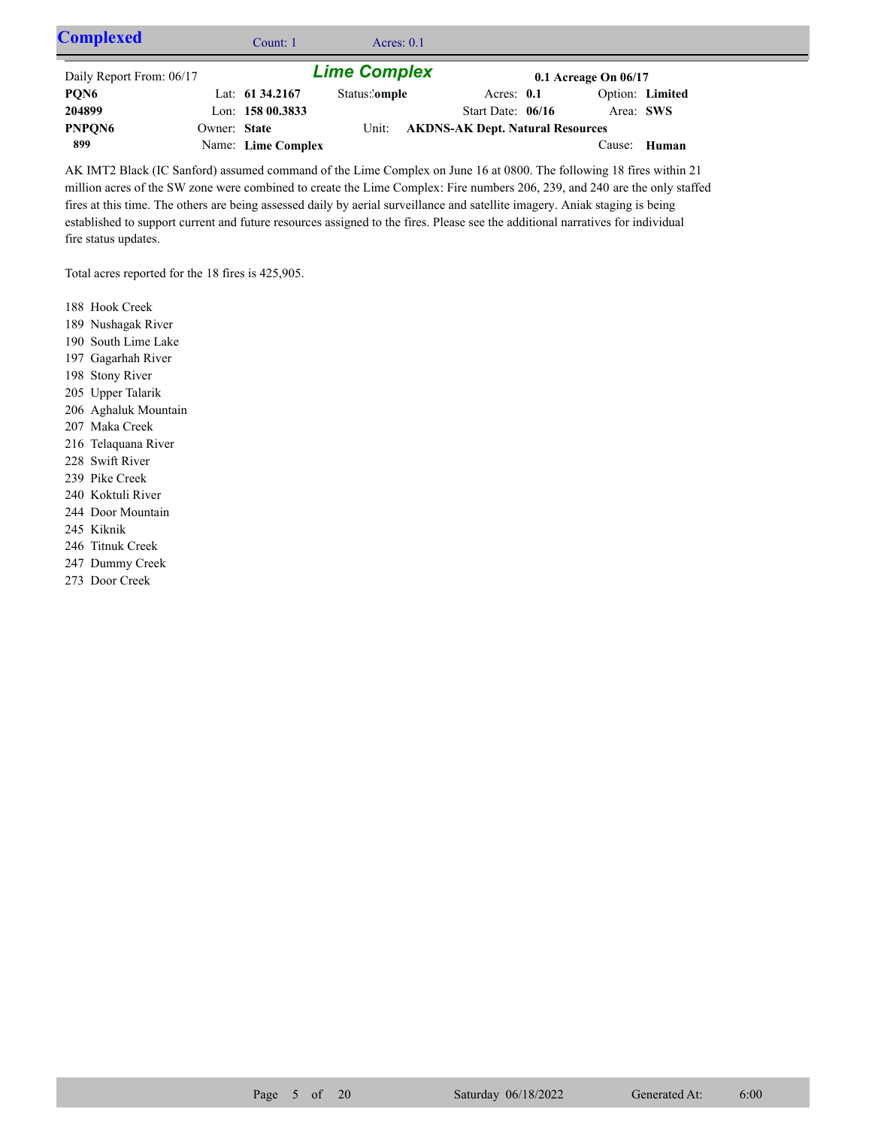| <b>Complexed</b>         |              | Count: 1           | Acres: $0.1$        |                                         |                          |                 |  |
|--------------------------|--------------|--------------------|---------------------|-----------------------------------------|--------------------------|-----------------|--|
| Daily Report From: 06/17 |              |                    | <b>Lime Complex</b> |                                         | $0.1$ Acreage On $06/17$ |                 |  |
| PQN6                     |              | Lat: $61\,34.2167$ | Status:'omple       | Acres: $0.1$                            |                          | Option: Limited |  |
| 204899                   |              | Lon: $15800.3833$  |                     | Start Date: $06/16$                     | Area: SWS                |                 |  |
| PNPQN6                   | Owner: State |                    | Unit:               | <b>AKDNS-AK Dept. Natural Resources</b> |                          |                 |  |
| 899                      |              | Name: Lime Complex |                     |                                         |                          | Cause: Human    |  |

AK IMT2 Black (IC Sanford) assumed command of the Lime Complex on June 16 at 0800. The following 18 fires within 21 million acres of the SW zone were combined to create the Lime Complex: Fire numbers 206, 239, and 240 are the only staffed fires at this time. The others are being assessed daily by aerial surveillance and satellite imagery. Aniak staging is being established to support current and future resources assigned to the fires. Please see the additional narratives for individual fire status updates.

Total acres reported for the 18 fires is 425,905.

188 Hook Creek

189 Nushagak River

190 South Lime Lake

- 197 Gagarhah River
- 198 Stony River
- 205 Upper Talarik
- 206 Aghaluk Mountain
- 207 Maka Creek
- 216 Telaquana River
- 228 Swift River
- 239 Pike Creek
- 240 Koktuli River
- 244 Door Mountain
- 245 Kiknik
- 246 Titnuk Creek
- 247 Dummy Creek
- 273 Door Creek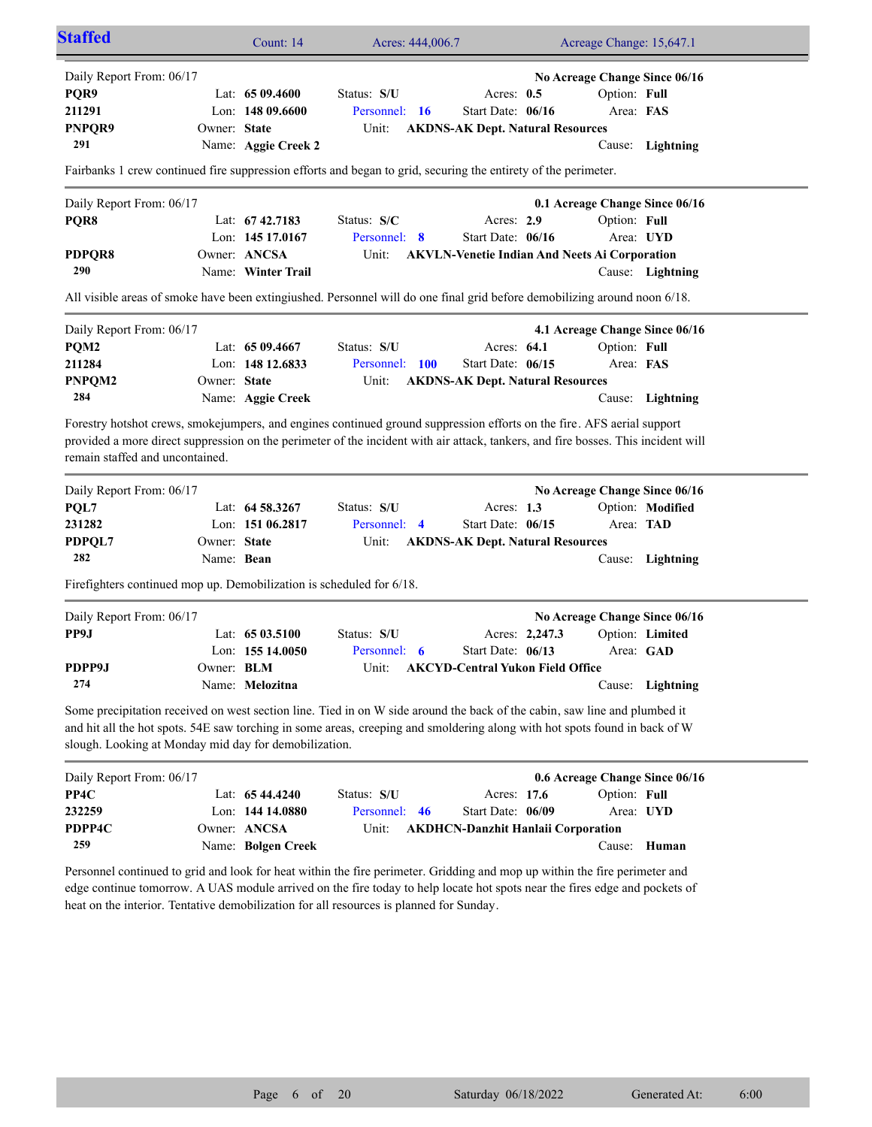| <b>Staffed</b>                                                                                                                                                                                                                                                                                                                                      |                   | Count: 14           | Acres: 444,006.7 |    |                                           |                | Acreage Change: 15,647.1                             |                                                   |  |
|-----------------------------------------------------------------------------------------------------------------------------------------------------------------------------------------------------------------------------------------------------------------------------------------------------------------------------------------------------|-------------------|---------------------|------------------|----|-------------------------------------------|----------------|------------------------------------------------------|---------------------------------------------------|--|
| Daily Report From: 06/17                                                                                                                                                                                                                                                                                                                            |                   |                     |                  |    |                                           |                |                                                      | No Acreage Change Since 06/16                     |  |
| PQR9                                                                                                                                                                                                                                                                                                                                                |                   | Lat: $6509.4600$    | Status: S/U      |    | Acres: $0.5$                              |                | Option: Full                                         |                                                   |  |
| 211291                                                                                                                                                                                                                                                                                                                                              |                   | Lon: 148 09.6600    | Personnel: 16    |    | Start Date: 06/16                         |                | Area: FAS                                            |                                                   |  |
| PNPQR9                                                                                                                                                                                                                                                                                                                                              | Owner: State      |                     | Unit:            |    | <b>AKDNS-AK Dept. Natural Resources</b>   |                |                                                      |                                                   |  |
| 291                                                                                                                                                                                                                                                                                                                                                 |                   | Name: Aggie Creek 2 |                  |    |                                           |                |                                                      | Cause: Lightning                                  |  |
| Fairbanks 1 crew continued fire suppression efforts and began to grid, securing the entirety of the perimeter.                                                                                                                                                                                                                                      |                   |                     |                  |    |                                           |                |                                                      |                                                   |  |
| Daily Report From: 06/17                                                                                                                                                                                                                                                                                                                            |                   |                     |                  |    |                                           |                |                                                      | 0.1 Acreage Change Since 06/16                    |  |
| PQR8                                                                                                                                                                                                                                                                                                                                                |                   | Lat: 67 42.7183     | Status: S/C      |    | Acres: 2.9                                |                | Option: Full                                         |                                                   |  |
|                                                                                                                                                                                                                                                                                                                                                     |                   | Lon: $14517.0167$   | Personnel: 8     |    | Start Date: 06/16                         |                |                                                      | Area: UYD                                         |  |
| PDPQR8                                                                                                                                                                                                                                                                                                                                              |                   | Owner: ANCSA        | Unit:            |    |                                           |                | <b>AKVLN-Venetie Indian And Neets Ai Corporation</b> |                                                   |  |
| 290                                                                                                                                                                                                                                                                                                                                                 |                   | Name: Winter Trail  |                  |    |                                           |                |                                                      | Cause: Lightning                                  |  |
| All visible areas of smoke have been extingiushed. Personnel will do one final grid before demobilizing around noon 6/18.                                                                                                                                                                                                                           |                   |                     |                  |    |                                           |                |                                                      |                                                   |  |
| Daily Report From: 06/17                                                                                                                                                                                                                                                                                                                            |                   |                     |                  |    |                                           |                |                                                      | 4.1 Acreage Change Since 06/16                    |  |
| PQM2                                                                                                                                                                                                                                                                                                                                                |                   | Lat: $6509.4667$    | Status: S/U      |    | Acres: 64.1                               |                | Option: Full                                         |                                                   |  |
| 211284                                                                                                                                                                                                                                                                                                                                              |                   | Lon: 148 12.6833    | Personnel: 100   |    | Start Date: 06/15                         |                | Area: FAS                                            |                                                   |  |
| PNPQM2                                                                                                                                                                                                                                                                                                                                              | Owner: State      |                     | Unit:            |    | <b>AKDNS-AK Dept. Natural Resources</b>   |                |                                                      |                                                   |  |
| 284                                                                                                                                                                                                                                                                                                                                                 |                   | Name: Aggie Creek   |                  |    |                                           |                |                                                      | Cause: Lightning                                  |  |
| remain staffed and uncontained.<br>Daily Report From: 06/17<br>PQL7                                                                                                                                                                                                                                                                                 |                   | Lat: 64 58.3267     | Status: S/U      |    | Acres: $1.3$                              |                |                                                      | No Acreage Change Since 06/16<br>Option: Modified |  |
| 231282                                                                                                                                                                                                                                                                                                                                              |                   | Lon: 151 06.2817    | Personnel: 4     |    | Start Date: 06/15                         |                | Area: TAD                                            |                                                   |  |
| PDPQL7                                                                                                                                                                                                                                                                                                                                              | Owner: State      |                     | Unit:            |    | <b>AKDNS-AK Dept. Natural Resources</b>   |                |                                                      |                                                   |  |
| 282                                                                                                                                                                                                                                                                                                                                                 | Name: Bean        |                     |                  |    |                                           |                |                                                      | Cause: Lightning                                  |  |
| Firefighters continued mop up. Demobilization is scheduled for 6/18.                                                                                                                                                                                                                                                                                |                   |                     |                  |    |                                           |                |                                                      |                                                   |  |
| Daily Report From: 06/17                                                                                                                                                                                                                                                                                                                            |                   |                     |                  |    |                                           |                |                                                      | No Acreage Change Since 06/16                     |  |
| PP9J                                                                                                                                                                                                                                                                                                                                                |                   | Lat: 65 03.5100     | Status: S/U      |    |                                           | Acres: 2,247.3 |                                                      | Option: Limited                                   |  |
|                                                                                                                                                                                                                                                                                                                                                     |                   | Lon: 155 14.0050    | Personnel: 6     |    | Start Date: 06/13                         |                |                                                      | Area: GAD                                         |  |
| PDPP9J                                                                                                                                                                                                                                                                                                                                              | Owner: <b>BLM</b> |                     | Unit:            |    | <b>AKCYD-Central Yukon Field Office</b>   |                |                                                      |                                                   |  |
| 274                                                                                                                                                                                                                                                                                                                                                 |                   | Name: Melozitna     |                  |    |                                           |                |                                                      | Cause: Lightning                                  |  |
| Some precipitation received on west section line. Tied in on W side around the back of the cabin, saw line and plumbed it<br>and hit all the hot spots. 54E saw torching in some areas, creeping and smoldering along with hot spots found in back of W<br>slough. Looking at Monday mid day for demobilization.                                    |                   |                     |                  |    |                                           |                |                                                      |                                                   |  |
| Daily Report From: 06/17                                                                                                                                                                                                                                                                                                                            |                   |                     |                  |    |                                           |                |                                                      | 0.6 Acreage Change Since 06/16                    |  |
| PP4C                                                                                                                                                                                                                                                                                                                                                |                   | Lat: 65 44.4240     | Status: S/U      |    | Acres: 17.6                               |                | Option: Full                                         |                                                   |  |
| 232259                                                                                                                                                                                                                                                                                                                                              |                   | Lon: 144 14.0880    | Personnel:       | 46 | Start Date: 06/09                         |                |                                                      | Area: UYD                                         |  |
| PDPP4C                                                                                                                                                                                                                                                                                                                                              |                   | Owner: ANCSA        | Unit:            |    | <b>AKDHCN-Danzhit Hanlaii Corporation</b> |                |                                                      |                                                   |  |
| 259                                                                                                                                                                                                                                                                                                                                                 |                   | Name: Bolgen Creek  |                  |    |                                           |                |                                                      | Cause: Human                                      |  |
| Personnel continued to grid and look for heat within the fire perimeter. Gridding and mop up within the fire perimeter and<br>edge continue tomorrow. A UAS module arrived on the fire today to help locate hot spots near the fires edge and pockets of<br>heat on the interior. Tentative demobilization for all resources is planned for Sunday. |                   |                     |                  |    |                                           |                |                                                      |                                                   |  |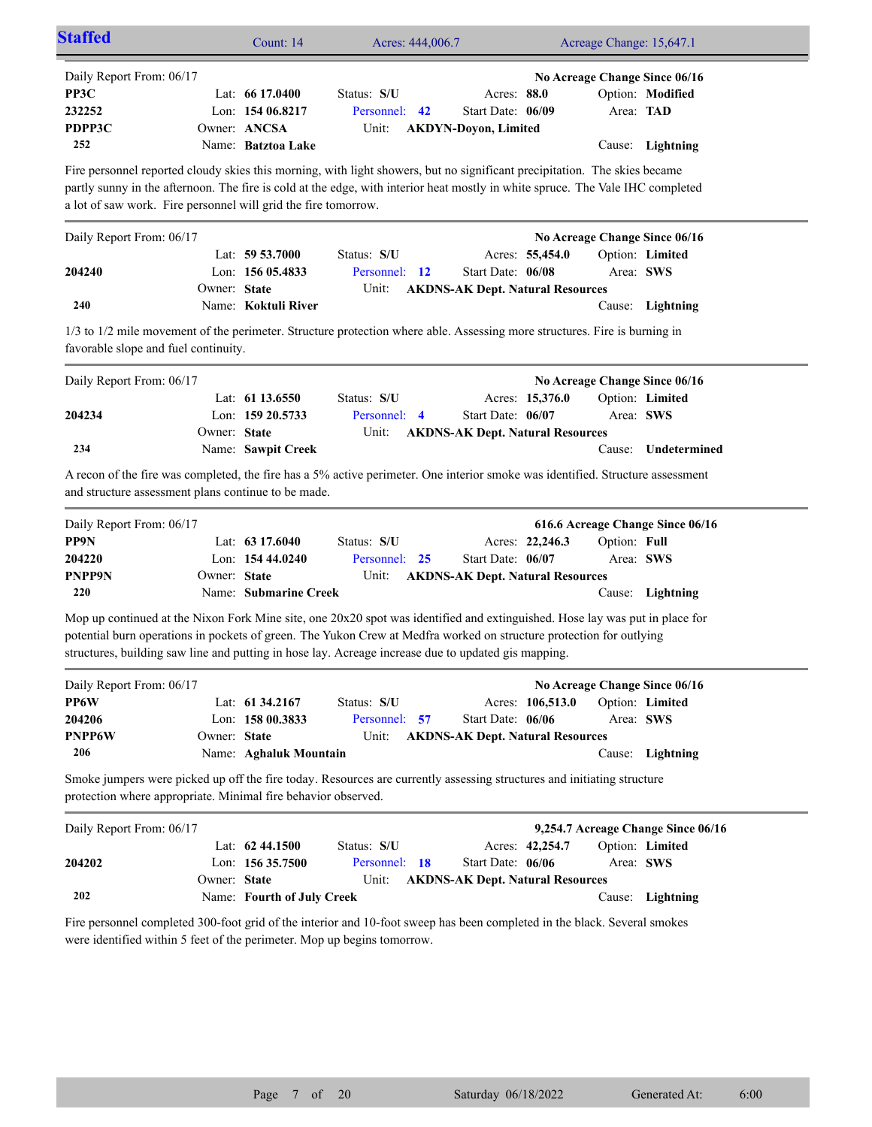| <b>Staffed</b>                                                                                                                                                                                                                                                                                                                                            |              | Count: 14                                                                  | Acres: 444,006.7                      |                                                                 |                  | Acreage Change: 15,647.1 |                                                                       |  |  |
|-----------------------------------------------------------------------------------------------------------------------------------------------------------------------------------------------------------------------------------------------------------------------------------------------------------------------------------------------------------|--------------|----------------------------------------------------------------------------|---------------------------------------|-----------------------------------------------------------------|------------------|--------------------------|-----------------------------------------------------------------------|--|--|
| Daily Report From: 06/17<br>PP3C<br>232252<br>PDPP3C<br>252                                                                                                                                                                                                                                                                                               |              | Lat: $6617.0400$<br>Lon: 154 06.8217<br>Owner: ANCSA<br>Name: Batztoa Lake | Status: S/U<br>Personnel: 42<br>Unit: | Acres: 88.0<br>Start Date: 06/09<br><b>AKDYN-Doyon, Limited</b> |                  | Area: TAD                | No Acreage Change Since 06/16<br>Option: Modified<br>Cause: Lightning |  |  |
| Fire personnel reported cloudy skies this morning, with light showers, but no significant precipitation. The skies became<br>partly sunny in the afternoon. The fire is cold at the edge, with interior heat mostly in white spruce. The Vale IHC completed<br>a lot of saw work. Fire personnel will grid the fire tomorrow.                             |              |                                                                            |                                       |                                                                 |                  |                          |                                                                       |  |  |
| Daily Report From: 06/17                                                                                                                                                                                                                                                                                                                                  |              |                                                                            |                                       |                                                                 |                  |                          | No Acreage Change Since 06/16                                         |  |  |
| 204240                                                                                                                                                                                                                                                                                                                                                    | Owner: State | Lat: $59\,53.7000$<br>Lon: $15605.4833$                                    | Status: S/U<br>Personnel: 12          | Start Date: 06/08                                               | Acres: 55,454.0  |                          | Option: Limited<br>Area: SWS                                          |  |  |
| 240                                                                                                                                                                                                                                                                                                                                                       |              | Name: Koktuli River                                                        | Unit:                                 | <b>AKDNS-AK Dept. Natural Resources</b>                         |                  |                          | Cause: Lightning                                                      |  |  |
| 1/3 to 1/2 mile movement of the perimeter. Structure protection where able. Assessing more structures. Fire is burning in<br>favorable slope and fuel continuity.                                                                                                                                                                                         |              |                                                                            |                                       |                                                                 |                  |                          |                                                                       |  |  |
| Daily Report From: 06/17                                                                                                                                                                                                                                                                                                                                  |              |                                                                            |                                       |                                                                 |                  |                          | No Acreage Change Since 06/16                                         |  |  |
| 204234                                                                                                                                                                                                                                                                                                                                                    | Owner: State | Lat: 61 13.6550<br>Lon: 159 20.5733                                        | Status: S/U<br>Personnel: 4           | Start Date: 06/07                                               | Acres: 15,376.0  | Area: SWS                | Option: Limited                                                       |  |  |
| 234                                                                                                                                                                                                                                                                                                                                                       |              | Name: Sawpit Creek                                                         | Unit:                                 | <b>AKDNS-AK Dept. Natural Resources</b>                         |                  | Cause:                   | Undetermined                                                          |  |  |
| A recon of the fire was completed, the fire has a 5% active perimeter. One interior smoke was identified. Structure assessment<br>and structure assessment plans continue to be made.                                                                                                                                                                     |              |                                                                            |                                       |                                                                 |                  |                          |                                                                       |  |  |
| Daily Report From: 06/17                                                                                                                                                                                                                                                                                                                                  |              |                                                                            |                                       |                                                                 |                  |                          | 616.6 Acreage Change Since 06/16                                      |  |  |
| PP9N                                                                                                                                                                                                                                                                                                                                                      |              | Lat: 63 17.6040                                                            | Status: S/U                           |                                                                 | Acres: 22,246.3  | Option: Full             |                                                                       |  |  |
| 204220<br><b>PNPP9N</b>                                                                                                                                                                                                                                                                                                                                   | Owner: State | Lon: 154 44.0240                                                           | Personnel: 25<br>Unit:                | Start Date: 06/07<br><b>AKDNS-AK Dept. Natural Resources</b>    |                  |                          | Area: SWS                                                             |  |  |
| 220                                                                                                                                                                                                                                                                                                                                                       |              | Name: Submarine Creek                                                      |                                       |                                                                 |                  |                          | Cause: Lightning                                                      |  |  |
| Mop up continued at the Nixon Fork Mine site, one 20x20 spot was identified and extinguished. Hose lay was put in place for<br>potential burn operations in pockets of green. The Yukon Crew at Medfra worked on structure protection for outlying<br>structures, building saw line and putting in hose lay. Acreage increase due to updated gis mapping. |              |                                                                            |                                       |                                                                 |                  |                          |                                                                       |  |  |
| Daily Report From: 06/17                                                                                                                                                                                                                                                                                                                                  |              |                                                                            |                                       |                                                                 |                  |                          | No Acreage Change Since 06/16                                         |  |  |
| PP6W<br>204206<br><b>PNPP6W</b>                                                                                                                                                                                                                                                                                                                           | Owner: State | Lat: 61 34.2167<br>Lon: 158 00.3833                                        | Status: S/U<br>Personnel: 57<br>Unit: | Start Date: 06/06<br><b>AKDNS-AK Dept. Natural Resources</b>    | Acres: 106,513.0 |                          | Option: Limited<br>Area: SWS                                          |  |  |
| 206                                                                                                                                                                                                                                                                                                                                                       |              | Name: Aghaluk Mountain                                                     |                                       |                                                                 |                  |                          | Cause: Lightning                                                      |  |  |
| Smoke jumpers were picked up off the fire today. Resources are currently assessing structures and initiating structure<br>protection where appropriate. Minimal fire behavior observed.                                                                                                                                                                   |              |                                                                            |                                       |                                                                 |                  |                          |                                                                       |  |  |
| Daily Report From: 06/17                                                                                                                                                                                                                                                                                                                                  |              |                                                                            |                                       |                                                                 |                  |                          | 9,254.7 Acreage Change Since 06/16                                    |  |  |
| 204202                                                                                                                                                                                                                                                                                                                                                    |              | Lat: 62 44.1500<br>Lon: 156 35.7500                                        | Status: S/U<br>Personnel: 18          | Start Date: 06/06                                               | Acres: 42,254.7  |                          | Option: Limited<br>Area: SWS                                          |  |  |
| 202                                                                                                                                                                                                                                                                                                                                                       | Owner: State | Name: Fourth of July Creek                                                 | Unit:                                 | <b>AKDNS-AK Dept. Natural Resources</b>                         |                  |                          | Cause: Lightning                                                      |  |  |
| Fire personnel completed 300-foot grid of the interior and 10-foot sweep has been completed in the black. Several smokes<br>were identified within 5 feet of the perimeter. Mop up begins tomorrow.                                                                                                                                                       |              |                                                                            |                                       |                                                                 |                  |                          |                                                                       |  |  |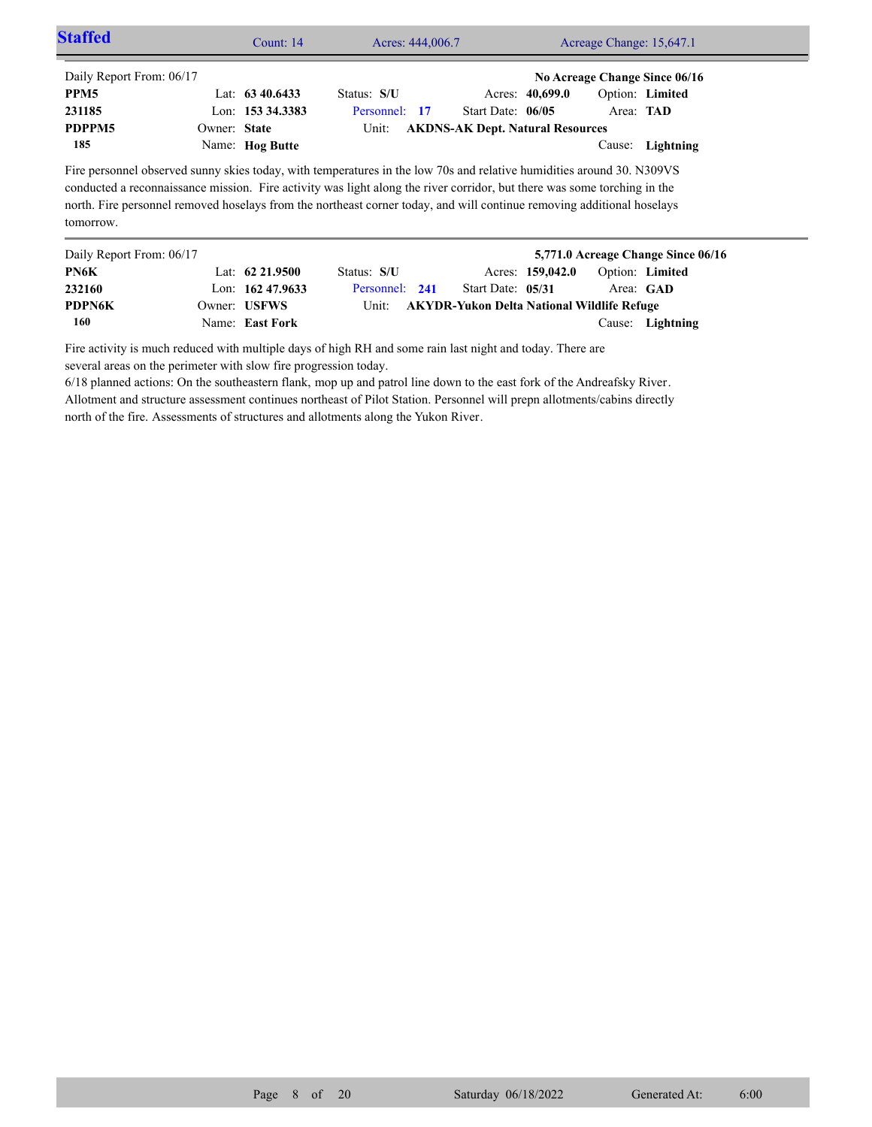| <b>Staffed</b>           |              | Count: 14          | Acres: 444,006.7                                                                                                                                                                                                                                                                                                                                                            | Acreage Change: 15,647.1                          |                  |                  |                                    |  |
|--------------------------|--------------|--------------------|-----------------------------------------------------------------------------------------------------------------------------------------------------------------------------------------------------------------------------------------------------------------------------------------------------------------------------------------------------------------------------|---------------------------------------------------|------------------|------------------|------------------------------------|--|
| Daily Report From: 06/17 |              |                    |                                                                                                                                                                                                                                                                                                                                                                             |                                                   |                  |                  | No Acreage Change Since 06/16      |  |
| PPM <sub>5</sub>         |              | Lat: $63\,40.6433$ | Status: S/U                                                                                                                                                                                                                                                                                                                                                                 |                                                   | Acres: 40,699.0  | Option: Limited  |                                    |  |
| 231185                   |              | Lon: 153 34.3383   | Personnel: 17                                                                                                                                                                                                                                                                                                                                                               | Start Date: $06/05$                               |                  | Area: <b>TAD</b> |                                    |  |
| PDPPM5                   | Owner: State |                    | Unit:                                                                                                                                                                                                                                                                                                                                                                       | <b>AKDNS-AK Dept. Natural Resources</b>           |                  |                  |                                    |  |
| 185                      |              | Name: Hog Butte    |                                                                                                                                                                                                                                                                                                                                                                             |                                                   |                  | Cause:           | Lightning                          |  |
| tomorrow.                |              |                    | Fire personnel observed sunny skies today, with temperatures in the low 70s and relative humidities around 30. N309VS<br>conducted a reconnaissance mission. Fire activity was light along the river corridor, but there was some torching in the<br>north. Fire personnel removed hoselays from the northeast corner today, and will continue removing additional hoselays |                                                   |                  |                  |                                    |  |
| Daily Report From: 06/17 |              |                    |                                                                                                                                                                                                                                                                                                                                                                             |                                                   |                  |                  | 5,771.0 Acreage Change Since 06/16 |  |
| PN6K                     |              | Lat: $62\,21.9500$ | Status: S/U                                                                                                                                                                                                                                                                                                                                                                 |                                                   | Acres: 159,042.0 | Option: Limited  |                                    |  |
| 232160                   |              | Lon: 162 47.9633   | Personnel: 241                                                                                                                                                                                                                                                                                                                                                              | Start Date: 05/31                                 |                  | Area: GAD        |                                    |  |
| PDPN6K                   |              | Owner: USFWS       | Unit:                                                                                                                                                                                                                                                                                                                                                                       | <b>AKYDR-Yukon Delta National Wildlife Refuge</b> |                  |                  |                                    |  |

Cause: **Lightning**

Fire activity is much reduced with multiple days of high RH and some rain last night and today. There are several areas on the perimeter with slow fire progression today.

Name: **East Fork**

**160**

6/18 planned actions: On the southeastern flank, mop up and patrol line down to the east fork of the Andreafsky River. Allotment and structure assessment continues northeast of Pilot Station. Personnel will prepn allotments/cabins directly north of the fire. Assessments of structures and allotments along the Yukon River.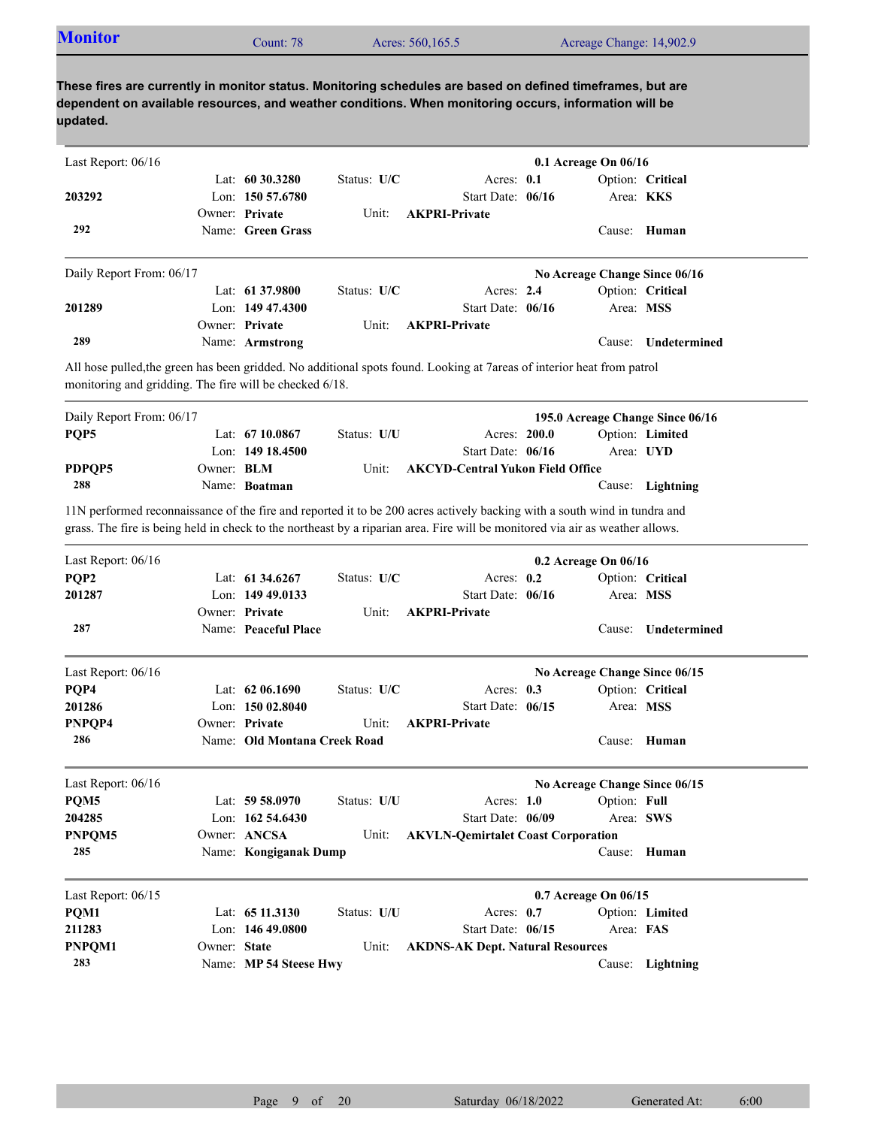| <b>Monitor</b>                                          |                   | Count: 78                              |             | Acres: 560,165.5                                                                                                                                                                                                    |              | Acreage Change: 14,902.9      |                                  |
|---------------------------------------------------------|-------------------|----------------------------------------|-------------|---------------------------------------------------------------------------------------------------------------------------------------------------------------------------------------------------------------------|--------------|-------------------------------|----------------------------------|
| updated.                                                |                   |                                        |             | These fires are currently in monitor status. Monitoring schedules are based on defined timeframes, but are<br>dependent on available resources, and weather conditions. When monitoring occurs, information will be |              |                               |                                  |
| Last Report: 06/16                                      |                   |                                        |             |                                                                                                                                                                                                                     |              | 0.1 Acreage On 06/16          |                                  |
|                                                         |                   | Lat: $60\,30.3280$                     | Status: U/C | Acres: $0.1$                                                                                                                                                                                                        |              |                               | Option: Critical                 |
| 203292                                                  |                   | Lon: 150 57.6780                       |             | Start Date: 06/16                                                                                                                                                                                                   |              |                               | Area: KKS                        |
|                                                         |                   | Owner: Private                         | Unit:       | <b>AKPRI-Private</b>                                                                                                                                                                                                |              |                               |                                  |
| 292                                                     |                   | Name: Green Grass                      |             |                                                                                                                                                                                                                     |              |                               | Cause: Human                     |
| Daily Report From: 06/17                                |                   |                                        |             |                                                                                                                                                                                                                     |              | No Acreage Change Since 06/16 |                                  |
|                                                         |                   | Lat: 61 37.9800                        | Status: U/C | Acres: 2.4                                                                                                                                                                                                          |              |                               | Option: Critical                 |
| 201289                                                  |                   | Lon: $14947.4300$                      |             | Start Date: 06/16                                                                                                                                                                                                   |              |                               | Area: MSS                        |
|                                                         |                   | Owner: Private                         | Unit:       | <b>AKPRI-Private</b>                                                                                                                                                                                                |              |                               |                                  |
| 289                                                     |                   | Name: Armstrong                        |             |                                                                                                                                                                                                                     |              | Cause:                        | Undetermined                     |
| monitoring and gridding. The fire will be checked 6/18. |                   |                                        |             | All hose pulled, the green has been gridded. No additional spots found. Looking at 7areas of interior heat from patrol                                                                                              |              |                               |                                  |
| Daily Report From: 06/17                                |                   |                                        |             |                                                                                                                                                                                                                     |              |                               | 195.0 Acreage Change Since 06/16 |
| PQP5                                                    |                   | Lat: $6710.0867$                       | Status: U/U |                                                                                                                                                                                                                     | Acres: 200.0 |                               | Option: Limited                  |
|                                                         |                   | Lon: 149 18.4500                       |             | Start Date: 06/16                                                                                                                                                                                                   |              |                               | Area: UYD                        |
| PDPQP5                                                  | Owner: <b>BLM</b> |                                        | Unit:       | <b>AKCYD-Central Yukon Field Office</b>                                                                                                                                                                             |              |                               |                                  |
| 288                                                     |                   | Name: Boatman                          |             |                                                                                                                                                                                                                     |              |                               | Cause: Lightning                 |
| Last Report: 06/16<br>PQP <sub>2</sub>                  |                   | Lat: 61 34.6267                        | Status: U/C | Acres: $0.2$                                                                                                                                                                                                        |              | 0.2 Acreage On 06/16          | Option: Critical                 |
| 201287                                                  |                   | Lon: $14949.0133$                      |             | Start Date: 06/16                                                                                                                                                                                                   |              |                               | Area: MSS                        |
| 287                                                     |                   | Owner: Private<br>Name: Peaceful Place | Unit:       | <b>AKPRI-Private</b>                                                                                                                                                                                                |              | Cause:                        | Undetermined                     |
|                                                         |                   |                                        |             |                                                                                                                                                                                                                     |              |                               |                                  |
| Last Report: 06/16<br>PQP4                              |                   | Lat: 62 06.1690                        | Status: U/C | Acres: 0.3                                                                                                                                                                                                          |              | No Acreage Change Since 06/15 | Option: Critical                 |
| 201286                                                  |                   | Lon: 150 02.8040                       |             | Start Date: 06/15                                                                                                                                                                                                   |              |                               | Area: MSS                        |
| PNPQP4                                                  |                   | Owner: Private                         | Unit:       | <b>AKPRI-Private</b>                                                                                                                                                                                                |              |                               |                                  |
| 286                                                     |                   | Name: Old Montana Creek Road           |             |                                                                                                                                                                                                                     |              |                               | Cause: Human                     |
| Last Report: 06/16                                      |                   |                                        |             |                                                                                                                                                                                                                     |              | No Acreage Change Since 06/15 |                                  |
| PQM5                                                    |                   | Lat: $5958.0970$                       | Status: U/U | Acres: $1.0$                                                                                                                                                                                                        |              | Option: Full                  |                                  |
| 204285                                                  |                   | Lon: 162 54.6430                       |             | Start Date: 06/09                                                                                                                                                                                                   |              |                               | Area: SWS                        |
| PNPQM5                                                  |                   | Owner: ANCSA                           | Unit:       | <b>AKVLN-Qemirtalet Coast Corporation</b>                                                                                                                                                                           |              |                               |                                  |
| 285                                                     |                   | Name: Kongiganak Dump                  |             |                                                                                                                                                                                                                     |              |                               | Cause: Human                     |
| Last Report: 06/15                                      |                   |                                        |             |                                                                                                                                                                                                                     |              | 0.7 Acreage On 06/15          |                                  |
| PQM1                                                    |                   | Lat: 65 11.3130                        | Status: U/U | Acres: 0.7                                                                                                                                                                                                          |              |                               | Option: Limited                  |
| 211283                                                  |                   | Lon: 146 49.0800                       |             | Start Date: 06/15                                                                                                                                                                                                   |              |                               | Area: FAS                        |
| PNPQM1                                                  | Owner: State      |                                        | Unit:       | <b>AKDNS-AK Dept. Natural Resources</b>                                                                                                                                                                             |              |                               |                                  |
| 283                                                     |                   | Name: MP 54 Steese Hwy                 |             |                                                                                                                                                                                                                     |              |                               | Cause: Lightning                 |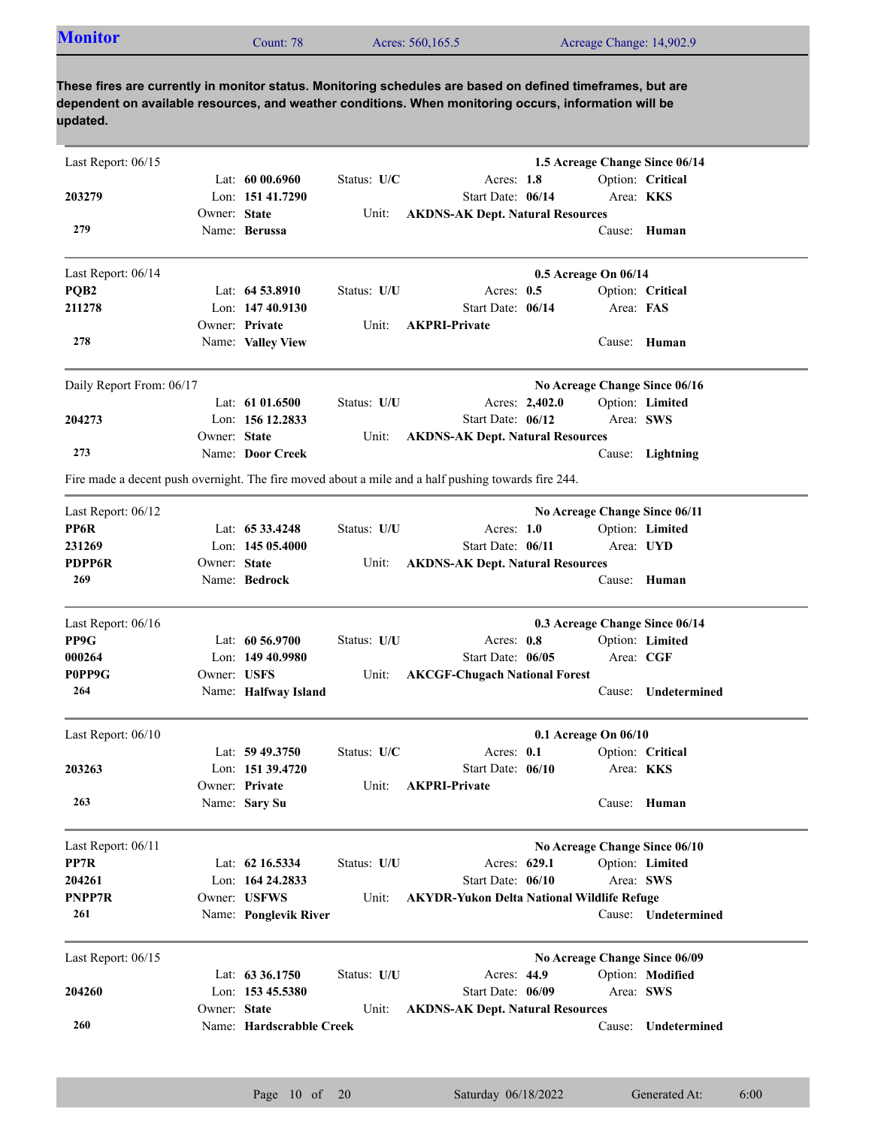| <b>Monitor</b> | Count: 78 | Acres: 560,165.5 | Acreage Change: 14,902.9 |
|----------------|-----------|------------------|--------------------------|
|                |           |                  |                          |

| Last Report: 06/15       |              |                          |             |                                                                                                     | 1.5 Acreage Change Since 06/14 |                     |
|--------------------------|--------------|--------------------------|-------------|-----------------------------------------------------------------------------------------------------|--------------------------------|---------------------|
|                          |              | Lat: $6000.6960$         | Status: U/C | Acres: 1.8                                                                                          |                                | Option: Critical    |
| 203279                   |              | Lon: 151 41.7290         |             | Start Date: 06/14                                                                                   |                                | Area: KKS           |
|                          | Owner: State |                          | Unit:       | <b>AKDNS-AK Dept. Natural Resources</b>                                                             |                                |                     |
| 279                      |              | Name: Berussa            |             |                                                                                                     |                                | Cause: Human        |
| Last Report: 06/14       |              |                          |             |                                                                                                     | 0.5 Acreage On 06/14           |                     |
| PQB <sub>2</sub>         |              | Lat: 64 53.8910          | Status: U/U | Acres: $0.5$                                                                                        |                                | Option: Critical    |
| 211278                   |              | Lon: 147 40.9130         |             | Start Date: 06/14                                                                                   | Area: FAS                      |                     |
|                          |              | Owner: Private           | Unit:       | <b>AKPRI-Private</b>                                                                                |                                |                     |
| 278                      |              | Name: Valley View        |             |                                                                                                     |                                | Cause: Human        |
| Daily Report From: 06/17 |              |                          |             |                                                                                                     | No Acreage Change Since 06/16  |                     |
|                          |              | Lat: $61\,01.6500$       | Status: U/U | Acres: 2,402.0                                                                                      |                                | Option: Limited     |
| 204273                   |              | Lon: 156 12.2833         |             | Start Date: 06/12                                                                                   |                                | Area: SWS           |
|                          | Owner: State |                          | Unit:       | <b>AKDNS-AK Dept. Natural Resources</b>                                                             |                                |                     |
| 273                      |              | Name: Door Creek         |             |                                                                                                     |                                | Cause: Lightning    |
|                          |              |                          |             | Fire made a decent push overnight. The fire moved about a mile and a half pushing towards fire 244. |                                |                     |
| Last Report: 06/12       |              |                          |             |                                                                                                     | No Acreage Change Since 06/11  |                     |
| PP6R                     |              | Lat: 65 33.4248          | Status: U/U | Acres: $1.0$                                                                                        |                                | Option: Limited     |
| 231269                   |              | Lon: $14505.4000$        |             | Start Date: 06/11                                                                                   |                                | Area: UYD           |
| <b>PDPP6R</b>            | Owner: State |                          | Unit:       | <b>AKDNS-AK Dept. Natural Resources</b>                                                             |                                |                     |
| 269                      |              | Name: Bedrock            |             |                                                                                                     |                                | Cause: Human        |
| Last Report: 06/16       |              |                          |             |                                                                                                     | 0.3 Acreage Change Since 06/14 |                     |
| PP9G                     |              | Lat: 60 56.9700          | Status: U/U | Acres: 0.8                                                                                          |                                | Option: Limited     |
| 000264                   |              | Lon: 149 40.9980         |             | Start Date: 06/05                                                                                   | Area: CGF                      |                     |
| P0PP9G                   | Owner: USFS  |                          | Unit:       | <b>AKCGF-Chugach National Forest</b>                                                                |                                |                     |
| 264                      |              | Name: Halfway Island     |             |                                                                                                     | Cause:                         | Undetermined        |
| Last Report: 06/10       |              |                          |             |                                                                                                     | 0.1 Acreage On 06/10           |                     |
|                          |              | Lat: $59\,49.3750$       | Status: U/C | Acres: 0.1                                                                                          |                                | Option: Critical    |
| 203263                   |              | Lon: 151 39.4720         |             | Start Date: 06/10                                                                                   | Area: <b>KKS</b>               |                     |
|                          |              | Owner: Private           |             | Unit: AKPRI-Private                                                                                 |                                |                     |
| 263                      |              | Name: Sary Su            |             |                                                                                                     |                                | Cause: Human        |
| Last Report: 06/11       |              |                          |             |                                                                                                     | No Acreage Change Since 06/10  |                     |
| PP7R                     |              | Lat: 62 16.5334          | Status: U/U | Acres: 629.1                                                                                        |                                | Option: Limited     |
| 204261                   |              | Lon: 164 24.2833         |             | Start Date: 06/10                                                                                   |                                | Area: SWS           |
| PNPP7R                   |              | Owner: USFWS             | Unit:       | <b>AKYDR-Yukon Delta National Wildlife Refuge</b>                                                   |                                |                     |
| 261                      |              | Name: Ponglevik River    |             |                                                                                                     |                                | Cause: Undetermined |
| Last Report: 06/15       |              |                          |             |                                                                                                     | No Acreage Change Since 06/09  |                     |
|                          |              | Lat: $63\,36.1750$       | Status: U/U | Acres: 44.9                                                                                         |                                | Option: Modified    |
| 204260                   |              | Lon: 153 45.5380         |             | Start Date: 06/09                                                                                   |                                | Area: SWS           |
|                          | Owner: State |                          | Unit:       | <b>AKDNS-AK Dept. Natural Resources</b>                                                             |                                |                     |
| 260                      |              | Name: Hardscrabble Creek |             |                                                                                                     | Cause:                         | Undetermined        |
|                          |              |                          |             |                                                                                                     |                                |                     |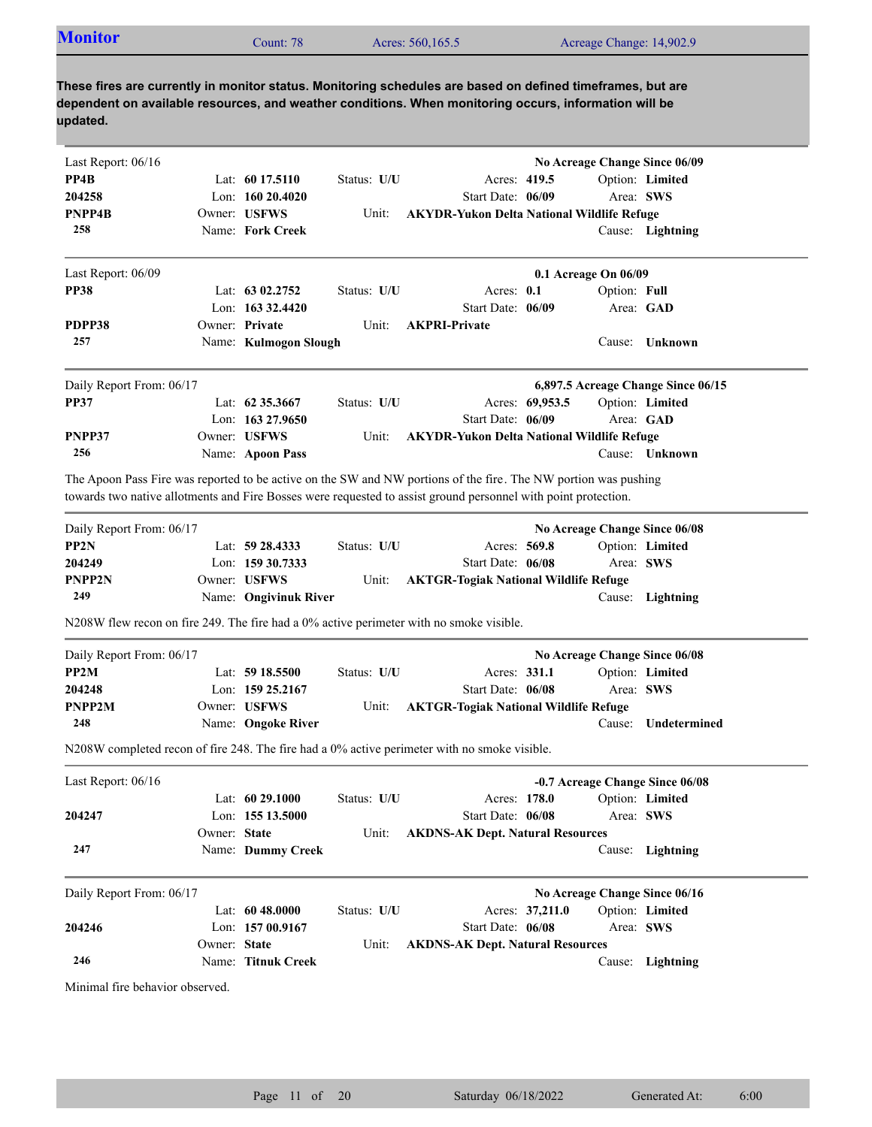| <b>Monitor</b> | Count: 78 | Acres: 560,165.5 | Acreage Change: 14,902.9 |
|----------------|-----------|------------------|--------------------------|
|                |           |                  |                          |

| Last Report: 06/16       |              |                       |             |                                                                                                                                                                                                                                   |                 |                      | No Acreage Change Since 06/09      |
|--------------------------|--------------|-----------------------|-------------|-----------------------------------------------------------------------------------------------------------------------------------------------------------------------------------------------------------------------------------|-----------------|----------------------|------------------------------------|
| PP4B                     |              | Lat: $6017.5110$      | Status: U/U | Acres: 419.5                                                                                                                                                                                                                      |                 |                      | Option: Limited                    |
| 204258                   |              | Lon: $16020.4020$     |             | Start Date: 06/09                                                                                                                                                                                                                 |                 | Area: SWS            |                                    |
| PNPP4B                   |              | Owner: USFWS          | Unit:       | <b>AKYDR-Yukon Delta National Wildlife Refuge</b>                                                                                                                                                                                 |                 |                      |                                    |
| 258                      |              | Name: Fork Creek      |             |                                                                                                                                                                                                                                   |                 |                      | Cause: Lightning                   |
| Last Report: 06/09       |              |                       |             |                                                                                                                                                                                                                                   |                 | 0.1 Acreage On 06/09 |                                    |
| <b>PP38</b>              |              | Lat: 63 02.2752       | Status: U/U | Acres: 0.1                                                                                                                                                                                                                        |                 | Option: Full         |                                    |
|                          |              | Lon: $163332.4420$    |             | Start Date: 06/09                                                                                                                                                                                                                 |                 |                      | Area: GAD                          |
| PDPP38                   |              | Owner: Private        | Unit:       | <b>AKPRI-Private</b>                                                                                                                                                                                                              |                 |                      |                                    |
| 257                      |              | Name: Kulmogon Slough |             |                                                                                                                                                                                                                                   |                 | Cause:               | <b>Unknown</b>                     |
| Daily Report From: 06/17 |              |                       |             |                                                                                                                                                                                                                                   |                 |                      | 6,897.5 Acreage Change Since 06/15 |
| <b>PP37</b>              |              | Lat: 62 35.3667       | Status: U/U |                                                                                                                                                                                                                                   | Acres: 69,953.5 |                      | Option: Limited                    |
|                          |              | Lon: 163 27.9650      |             | Start Date: 06/09                                                                                                                                                                                                                 |                 |                      | Area: GAD                          |
| PNPP37                   |              | Owner: USFWS          | Unit:       | <b>AKYDR-Yukon Delta National Wildlife Refuge</b>                                                                                                                                                                                 |                 |                      |                                    |
| 256                      |              | Name: Apoon Pass      |             |                                                                                                                                                                                                                                   |                 |                      | Cause: Unknown                     |
|                          |              |                       |             |                                                                                                                                                                                                                                   |                 |                      |                                    |
|                          |              |                       |             | The Apoon Pass Fire was reported to be active on the SW and NW portions of the fire. The NW portion was pushing<br>towards two native allotments and Fire Bosses were requested to assist ground personnel with point protection. |                 |                      |                                    |
| Daily Report From: 06/17 |              |                       |             |                                                                                                                                                                                                                                   |                 |                      | No Acreage Change Since 06/08      |
| PP <sub>2N</sub>         |              | Lat: 59 28.4333       | Status: U/U | Acres: 569.8                                                                                                                                                                                                                      |                 |                      | Option: Limited                    |
| 204249                   |              | Lon: $15930.7333$     |             | Start Date: 06/08                                                                                                                                                                                                                 |                 |                      | Area: SWS                          |
| PNPP2N                   |              | Owner: USFWS          | Unit:       | <b>AKTGR-Togiak National Wildlife Refuge</b>                                                                                                                                                                                      |                 |                      |                                    |
| 249                      |              | Name: Ongivinuk River |             |                                                                                                                                                                                                                                   |                 | Cause:               | Lightning                          |
|                          |              |                       |             | N208W flew recon on fire 249. The fire had a 0% active perimeter with no smoke visible.                                                                                                                                           |                 |                      |                                    |
| Daily Report From: 06/17 |              |                       |             |                                                                                                                                                                                                                                   |                 |                      | No Acreage Change Since 06/08      |
| PP2M                     |              | Lat: $5918.5500$      | Status: U/U | Acres: 331.1                                                                                                                                                                                                                      |                 |                      | Option: Limited                    |
| 204248                   |              | Lon: 159 25.2167      |             | Start Date: 06/08                                                                                                                                                                                                                 |                 | Area: SWS            |                                    |
| PNPP2M                   |              | Owner: USFWS          | Unit:       | <b>AKTGR-Togiak National Wildlife Refuge</b>                                                                                                                                                                                      |                 |                      |                                    |
| 248                      |              | Name: Ongoke River    |             |                                                                                                                                                                                                                                   |                 | Cause:               | Undetermined                       |
|                          |              |                       |             | N208W completed recon of fire 248. The fire had a 0% active perimeter with no smoke visible.                                                                                                                                      |                 |                      |                                    |
| Last Report: 06/16       |              |                       |             |                                                                                                                                                                                                                                   |                 |                      | -0.7 Acreage Change Since 06/08    |
|                          |              | Lat: 60 29.1000       | Status: U/U | Acres: 178.0                                                                                                                                                                                                                      |                 |                      | Option: Limited                    |
| 204247                   |              | Lon: 155 13.5000      |             | Start Date: 06/08                                                                                                                                                                                                                 |                 | Area: SWS            |                                    |
|                          | Owner: State |                       | Unit:       | <b>AKDNS-AK Dept. Natural Resources</b>                                                                                                                                                                                           |                 |                      |                                    |
| 247                      |              | Name: Dummy Creek     |             |                                                                                                                                                                                                                                   |                 |                      | Cause: Lightning                   |
| Daily Report From: 06/17 |              |                       |             |                                                                                                                                                                                                                                   |                 |                      | No Acreage Change Since 06/16      |
|                          |              | Lat: 60 48.0000       | Status: U/U |                                                                                                                                                                                                                                   | Acres: 37,211.0 |                      | Option: Limited                    |
| 204246                   |              | Lon: 157 00.9167      |             | Start Date: 06/08                                                                                                                                                                                                                 |                 | Area: SWS            |                                    |
|                          | Owner: State |                       | Unit:       | <b>AKDNS-AK Dept. Natural Resources</b>                                                                                                                                                                                           |                 |                      |                                    |
| 246                      |              | Name: Titnuk Creek    |             |                                                                                                                                                                                                                                   |                 |                      | Cause: Lightning                   |

Minimal fire behavior observed.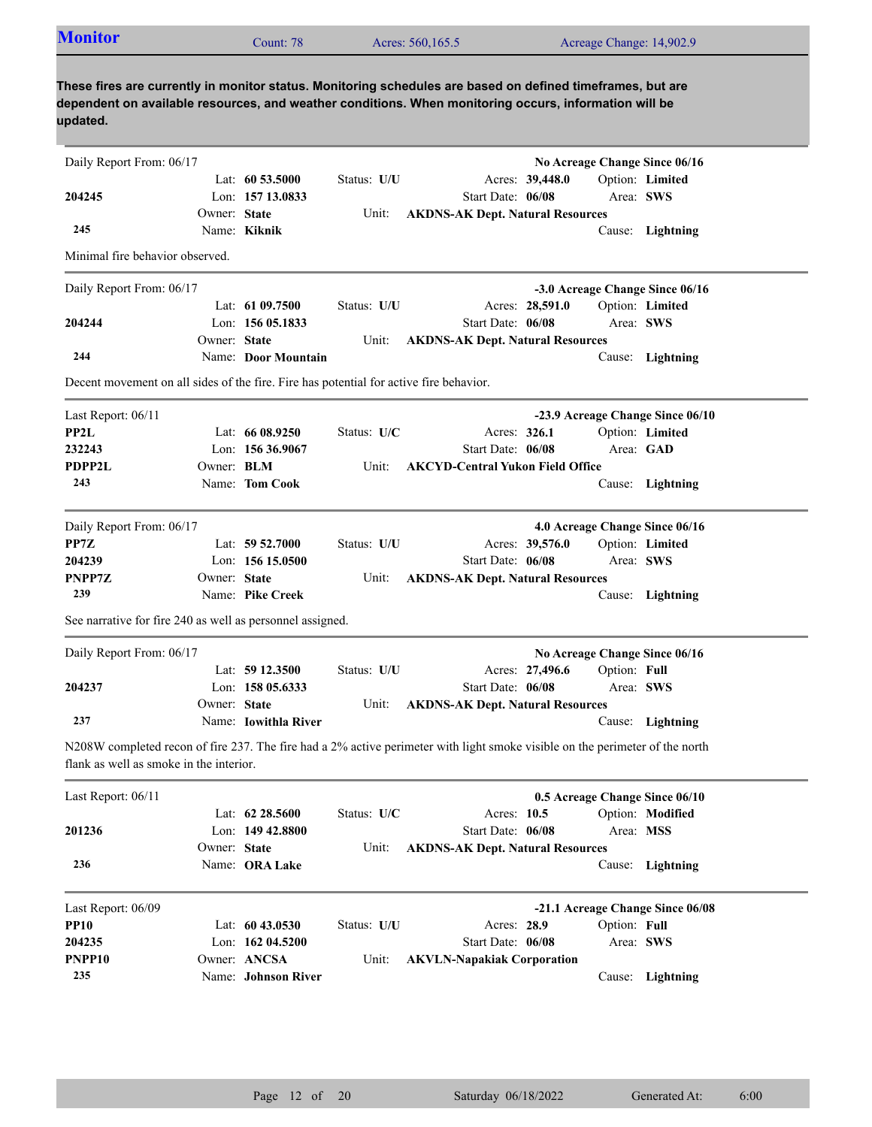| <b>Monitor</b>                                                                                                                                                                                                                  |              | Count: 78            |             | Acres: 560,165.5                        |                              |              | Acreage Change: 14,902.9         |
|---------------------------------------------------------------------------------------------------------------------------------------------------------------------------------------------------------------------------------|--------------|----------------------|-------------|-----------------------------------------|------------------------------|--------------|----------------------------------|
| These fires are currently in monitor status. Monitoring schedules are based on defined timeframes, but are<br>dependent on available resources, and weather conditions. When monitoring occurs, information will be<br>updated. |              |                      |             |                                         |                              |              |                                  |
| Daily Report From: 06/17                                                                                                                                                                                                        |              |                      |             |                                         |                              |              | No Acreage Change Since 06/16    |
|                                                                                                                                                                                                                                 |              | Lat: $60\,53.5000$   | Status: U/U |                                         | Acres: 39,448.0              |              | Option: Limited                  |
| 204245                                                                                                                                                                                                                          |              | Lon: 157 13.0833     |             | Start Date: 06/08                       |                              |              | Area: SWS                        |
|                                                                                                                                                                                                                                 | Owner: State |                      | Unit:       | <b>AKDNS-AK Dept. Natural Resources</b> |                              |              |                                  |
| 245                                                                                                                                                                                                                             |              | Name: Kiknik         |             |                                         |                              |              | Cause: Lightning                 |
| Minimal fire behavior observed.                                                                                                                                                                                                 |              |                      |             |                                         |                              |              |                                  |
| Daily Report From: 06/17                                                                                                                                                                                                        |              |                      |             |                                         |                              |              | -3.0 Acreage Change Since 06/16  |
|                                                                                                                                                                                                                                 |              | Lat: 61 09.7500      | Status: U/U |                                         | Acres: 28,591.0              |              | Option: Limited                  |
| 204244                                                                                                                                                                                                                          |              | Lon: $15605.1833$    |             | Start Date: 06/08                       |                              |              | Area: SWS                        |
|                                                                                                                                                                                                                                 | Owner: State |                      | Unit:       | <b>AKDNS-AK Dept. Natural Resources</b> |                              |              |                                  |
| 244                                                                                                                                                                                                                             |              | Name: Door Mountain  |             |                                         |                              |              | Cause: Lightning                 |
| Decent movement on all sides of the fire. Fire has potential for active fire behavior.                                                                                                                                          |              |                      |             |                                         |                              |              |                                  |
| Last Report: 06/11                                                                                                                                                                                                              |              |                      |             |                                         |                              |              | -23.9 Acreage Change Since 06/10 |
| PP2L                                                                                                                                                                                                                            |              | Lat: 66 08.9250      | Status: U/C |                                         | Acres: 326.1                 |              | Option: Limited                  |
| 232243                                                                                                                                                                                                                          |              | Lon: $15636.9067$    |             | Start Date: 06/08                       |                              |              | Area: GAD                        |
| PDPP2L                                                                                                                                                                                                                          | Owner: BLM   |                      | Unit:       | <b>AKCYD-Central Yukon Field Office</b> |                              |              |                                  |
| 243                                                                                                                                                                                                                             |              | Name: Tom Cook       |             |                                         |                              |              | Cause: Lightning                 |
| Daily Report From: 06/17                                                                                                                                                                                                        |              |                      |             |                                         |                              |              | 4.0 Acreage Change Since 06/16   |
| PP7Z                                                                                                                                                                                                                            |              | Lat: 59 52.7000      | Status: U/U |                                         | Acres: 39,576.0              |              | Option: Limited                  |
| 204239                                                                                                                                                                                                                          |              | Lon: $15615.0500$    |             | Start Date: 06/08                       |                              |              | Area: SWS                        |
| PNPP7Z                                                                                                                                                                                                                          | Owner: State |                      | Unit:       | <b>AKDNS-AK Dept. Natural Resources</b> |                              |              |                                  |
| 239                                                                                                                                                                                                                             |              | Name: Pike Creek     |             |                                         |                              |              | Cause: Lightning                 |
| See narrative for fire 240 as well as personnel assigned.                                                                                                                                                                       |              |                      |             |                                         |                              |              |                                  |
| Daily Report From: 06/17                                                                                                                                                                                                        |              |                      |             |                                         |                              |              | No Acreage Change Since 06/16    |
|                                                                                                                                                                                                                                 |              | Lat: 59 12.3500      | Status: U/U |                                         | Acres: 27,496.6 Option: Full |              |                                  |
| 204237                                                                                                                                                                                                                          |              | Lon: 158 05.6333     |             | Start Date: 06/08                       |                              |              | Area: SWS                        |
|                                                                                                                                                                                                                                 | Owner: State |                      | Unit:       | <b>AKDNS-AK Dept. Natural Resources</b> |                              |              |                                  |
| 237                                                                                                                                                                                                                             |              | Name: Iowithla River |             |                                         |                              |              | Cause: Lightning                 |
| N208W completed recon of fire 237. The fire had a 2% active perimeter with light smoke visible on the perimeter of the north<br>flank as well as smoke in the interior.                                                         |              |                      |             |                                         |                              |              |                                  |
| Last Report: 06/11                                                                                                                                                                                                              |              |                      |             |                                         |                              |              | 0.5 Acreage Change Since 06/10   |
|                                                                                                                                                                                                                                 |              | Lat: 62 28.5600      | Status: U/C | Acres: 10.5                             |                              |              | Option: Modified                 |
| 201236                                                                                                                                                                                                                          |              | Lon: 149 42.8800     |             | Start Date: 06/08                       |                              |              | Area: MSS                        |
|                                                                                                                                                                                                                                 | Owner: State |                      | Unit:       | <b>AKDNS-AK Dept. Natural Resources</b> |                              |              |                                  |
| 236                                                                                                                                                                                                                             |              | Name: ORA Lake       |             |                                         |                              |              | Cause: Lightning                 |
| Last Report: 06/09                                                                                                                                                                                                              |              |                      |             |                                         |                              |              | -21.1 Acreage Change Since 06/08 |
| <b>PP10</b>                                                                                                                                                                                                                     |              | Lat: $6043.0530$     | Status: U/U | Acres: 28.9                             |                              | Option: Full |                                  |
| 204235                                                                                                                                                                                                                          |              | Lon: 162 04.5200     |             | Start Date: 06/08                       |                              |              | Area: SWS                        |
|                                                                                                                                                                                                                                 |              | Owner: ANCSA         | Unit:       | <b>AKVLN-Napakiak Corporation</b>       |                              |              |                                  |
| PNPP10<br>235                                                                                                                                                                                                                   |              |                      |             |                                         |                              |              | Cause: Lightning                 |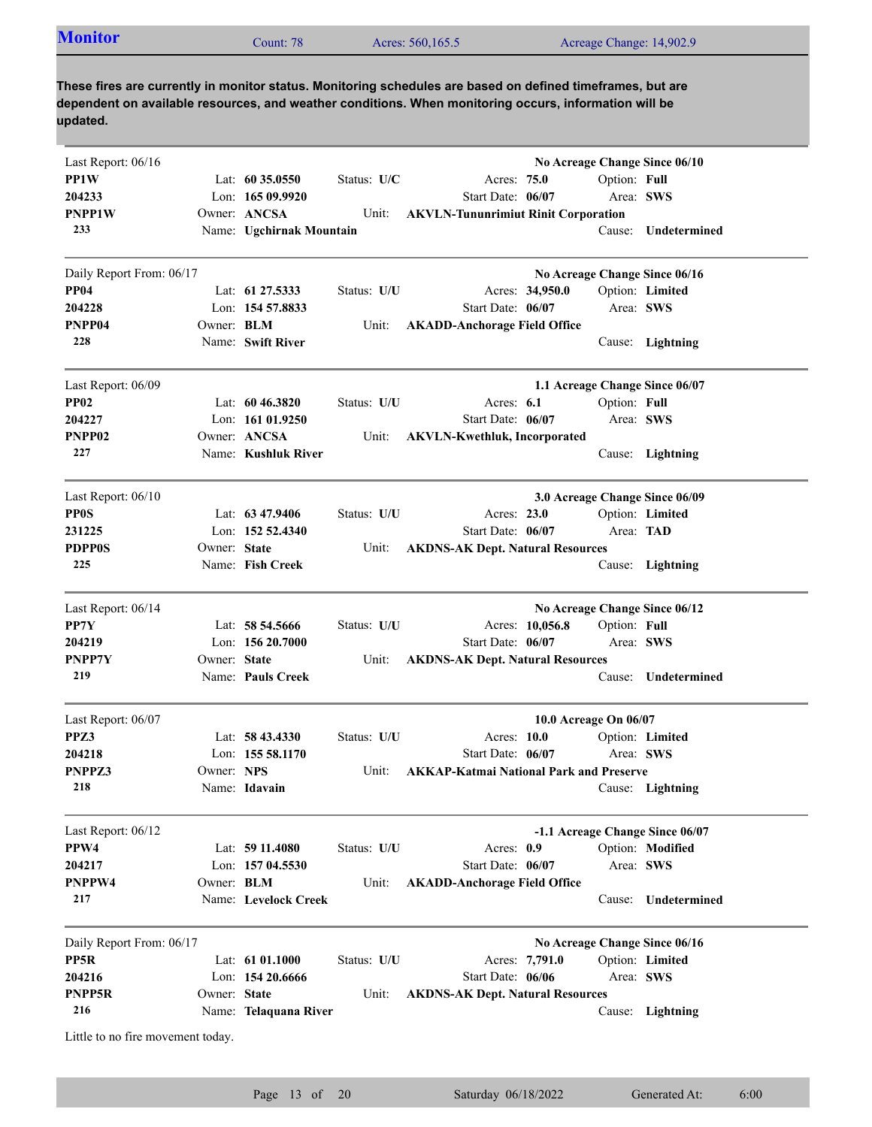| <b>Monitor</b> | $\mathcal L$ ount: 78 | Acres: 560,165.5 |                          |
|----------------|-----------------------|------------------|--------------------------|
|                |                       |                  | Acreage Change: 14,902.9 |
|                |                       |                  |                          |

| Last Report: 06/16                |                   |                          |             |                                                |              | No Acreage Change Since 06/10   |
|-----------------------------------|-------------------|--------------------------|-------------|------------------------------------------------|--------------|---------------------------------|
| PP1W                              |                   | Lat: $60\,35.0550$       | Status: U/C | Acres: 75.0                                    | Option: Full |                                 |
| 204233                            |                   | Lon: $16509.9920$        |             | Start Date: 06/07                              | Area: SWS    |                                 |
| PNPP1W                            |                   | Owner: ANCSA             | Unit:       | <b>AKVLN-Tununrimiut Rinit Corporation</b>     |              |                                 |
| 233                               |                   | Name: Ugchirnak Mountain |             |                                                | Cause:       | Undetermined                    |
| Daily Report From: 06/17          |                   |                          |             |                                                |              | No Acreage Change Since 06/16   |
| <b>PP04</b>                       |                   | Lat: 61 27.5333          | Status: U/U | Acres: 34,950.0                                |              | Option: Limited                 |
| 204228                            |                   | Lon: 154 57.8833         |             | Start Date: 06/07                              | Area: SWS    |                                 |
| PNPP04                            | Owner: <b>BLM</b> |                          | Unit:       | <b>AKADD-Anchorage Field Office</b>            |              |                                 |
| 228                               |                   | Name: Swift River        |             |                                                |              | Cause: Lightning                |
| Last Report: 06/09                |                   |                          |             |                                                |              | 1.1 Acreage Change Since 06/07  |
| <b>PP02</b>                       |                   | Lat: $60\,46.3820$       | Status: U/U | Acres: $6.1$                                   | Option: Full |                                 |
| 204227                            |                   | Lon: 161 01.9250         |             | Start Date: 06/07                              | Area: SWS    |                                 |
| PNPP02                            |                   | Owner: ANCSA             | Unit:       | <b>AKVLN-Kwethluk, Incorporated</b>            |              |                                 |
| 227                               |                   | Name: Kushluk River      |             |                                                |              | Cause: Lightning                |
| Last Report: 06/10                |                   |                          |             |                                                |              | 3.0 Acreage Change Since 06/09  |
| <b>PP0S</b>                       |                   | Lat: $63\,47.9406$       | Status: U/U | Acres: $23.0$                                  |              | Option: Limited                 |
| 231225                            |                   | Lon: 152 52.4340         |             | Start Date: 06/07                              | Area: TAD    |                                 |
| <b>PDPP0S</b>                     | Owner: State      |                          | Unit:       | <b>AKDNS-AK Dept. Natural Resources</b>        |              |                                 |
| 225                               |                   | Name: Fish Creek         |             |                                                |              | Cause: Lightning                |
| Last Report: 06/14                |                   |                          |             |                                                |              | No Acreage Change Since 06/12   |
| PP7Y                              |                   | Lat: $58\,54.5666$       | Status: U/U | Acres: 10,056.8                                | Option: Full |                                 |
| 204219                            |                   | Lon: $15620.7000$        |             | Start Date: 06/07                              | Area: SWS    |                                 |
| PNPP7Y                            | Owner: State      |                          | Unit:       | <b>AKDNS-AK Dept. Natural Resources</b>        |              |                                 |
| 219                               |                   | Name: Pauls Creek        |             |                                                |              | Cause: Undetermined             |
| Last Report: 06/07                |                   |                          |             | 10.0 Acreage On 06/07                          |              |                                 |
| PPZ3                              |                   | Lat: $58\,43.4330$       | Status: U/U | Acres: $10.0$                                  |              | Option: Limited                 |
| 204218                            |                   | Lon: $15558.1170$        |             | Start Date: 06/07                              | Area: SWS    |                                 |
| PNPPZ3                            | Owner: NPS        |                          | Unit:       | <b>AKKAP-Katmai National Park and Preserve</b> |              |                                 |
| 218                               |                   | Name: Idavain            |             |                                                |              | Cause: Lightning                |
| Last Report: 06/12                |                   |                          |             |                                                |              | -1.1 Acreage Change Since 06/07 |
| PPW4                              |                   | Lat: 59 11.4080          | Status: U/U | Acres: 0.9                                     |              | Option: Modified                |
| 204217                            |                   | Lon: 157 04.5530         |             | Start Date: 06/07                              | Area: SWS    |                                 |
| PNPPW4                            | Owner: BLM        |                          | Unit:       | <b>AKADD-Anchorage Field Office</b>            |              |                                 |
| 217                               |                   | Name: Levelock Creek     |             |                                                | Cause:       | Undetermined                    |
| Daily Report From: 06/17          |                   |                          |             |                                                |              | No Acreage Change Since 06/16   |
| PP5R                              |                   | Lat: 61 01.1000          | Status: U/U | Acres: 7,791.0                                 |              | Option: Limited                 |
| 204216                            |                   | Lon: 154 20.6666         |             | Start Date: 06/06                              | Area: SWS    |                                 |
| PNPP5R                            | Owner: State      |                          | Unit:       | <b>AKDNS-AK Dept. Natural Resources</b>        |              |                                 |
| 216                               |                   | Name: Telaquana River    |             |                                                |              | Cause: Lightning                |
| Little to no fire movement today. |                   |                          |             |                                                |              |                                 |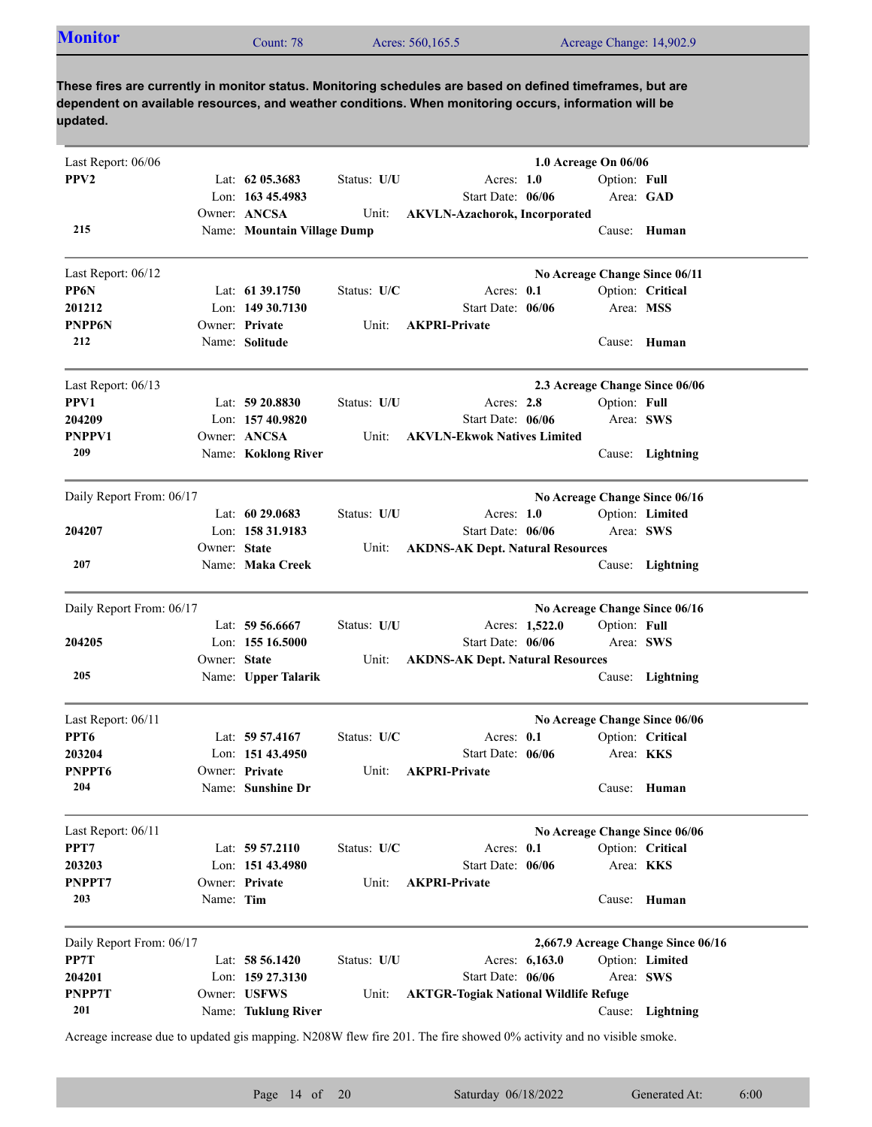| Acres: 560,165.5<br>Acreage Change: 14,902.9<br>Count: 78 | <b>Monitor</b> |  |
|-----------------------------------------------------------|----------------|--|
|-----------------------------------------------------------|----------------|--|

| PPV <sub>2</sub><br>Lat: $62$ 05.3683<br>Status: U/U<br>Acres: 1.0<br>Option: Full<br>Lon: 163 45.4983<br>Start Date: 06/06<br>Area: GAD<br>Owner: ANCSA<br><b>AKVLN-Azachorok, Incorporated</b><br>Unit:<br>215<br>Name: Mountain Village Dump<br>Cause: Human<br>Last Report: 06/12<br>No Acreage Change Since 06/11<br>PP6N<br>Lat: $61\,39.1750$<br>Status: U/C<br>Acres: 0.1<br>Option: Critical<br>201212<br>Lon: $14930.7130$<br>Start Date: 06/06<br>Area: MSS<br>Owner: Private<br>PNPP6N<br><b>AKPRI-Private</b><br>Unit:<br>212<br>Name: Solitude<br>Cause: Human<br>Last Report: 06/13<br>2.3 Acreage Change Since 06/06<br>PPV1<br>Lat: $59\,20.8830$<br>Status: U/U<br>Acres: 2.8<br>Option: Full<br>Lon: 157 40.9820<br>Start Date: 06/06<br>Area: SWS<br>204209<br>PNPPV1<br>Owner: ANCSA<br>Unit:<br><b>AKVLN-Ekwok Natives Limited</b><br>209<br>Name: Koklong River<br>Cause: Lightning<br>Daily Report From: 06/17<br>No Acreage Change Since 06/16<br>Option: Limited<br>Lat: $60\,29.0683$<br>Status: U/U<br>Acres: $1.0$<br>Lon: 158 31.9183<br>Start Date: 06/06<br>Area: SWS<br>204207<br>Owner: State<br><b>AKDNS-AK Dept. Natural Resources</b><br>Unit:<br>207<br>Name: Maka Creek<br>Cause: Lightning<br>Daily Report From: 06/17<br>No Acreage Change Since 06/16<br>Lat: 59 56.6667<br>Option: Full<br>Status: U/U<br>Acres: 1,522.0<br>204205<br>Start Date: 06/06<br>Area: SWS<br>Lon: $15516.5000$<br>Owner: State<br>Unit:<br><b>AKDNS-AK Dept. Natural Resources</b><br>205<br>Name: Upper Talarik<br>Cause: Lightning<br>Last Report: 06/11<br>No Acreage Change Since 06/06<br>PPT <sub>6</sub><br>Lat: $59\,57.4167$<br>Status: U/C<br>Acres: $0.1$<br>Option: Critical<br>203204<br>Lon: $15143.4950$<br>Start Date: 06/06<br>Area: <b>KKS</b><br>PNPPT6<br>Owner: Private<br><b>AKPRI-Private</b><br>Unit:<br>Cause: Human<br>204<br>Name: Sunshine Dr<br>Last Report: 06/11<br>No Acreage Change Since 06/06<br>PPT7<br>Acres: 0.1<br>Lat: $59\,57.2110$<br>Status: U/C<br>Option: Critical<br>203203<br>Area: KKS<br>Lon: $15143.4980$<br>Start Date: 06/06<br>PNPPT7<br>Owner: Private<br>Unit:<br><b>AKPRI-Private</b><br>203<br>Name: Tim<br>Human<br>Cause:<br>Daily Report From: 06/17<br>2,667.9 Acreage Change Since 06/16<br>PP7T<br>Lat: 58 56.1420<br>Status: U/U<br>Acres: 6,163.0<br>Option: Limited<br>204201<br>Lon: 159 27.3130<br>Start Date: 06/06<br>Area: SWS<br>PNPP7T<br>Owner: USFWS<br><b>AKTGR-Togiak National Wildlife Refuge</b><br>Unit:<br>201<br>Name: Tuklung River<br>Lightning<br>Cause: | Last Report: 06/06 |  |  | 1.0 Acreage On 06/06 |  |
|---------------------------------------------------------------------------------------------------------------------------------------------------------------------------------------------------------------------------------------------------------------------------------------------------------------------------------------------------------------------------------------------------------------------------------------------------------------------------------------------------------------------------------------------------------------------------------------------------------------------------------------------------------------------------------------------------------------------------------------------------------------------------------------------------------------------------------------------------------------------------------------------------------------------------------------------------------------------------------------------------------------------------------------------------------------------------------------------------------------------------------------------------------------------------------------------------------------------------------------------------------------------------------------------------------------------------------------------------------------------------------------------------------------------------------------------------------------------------------------------------------------------------------------------------------------------------------------------------------------------------------------------------------------------------------------------------------------------------------------------------------------------------------------------------------------------------------------------------------------------------------------------------------------------------------------------------------------------------------------------------------------------------------------------------------------------------------------------------------------------------------------------------------------------------------------------------------------------------------------------------------------------------------------------------------------------------------------------------------------------------------------------------------------------------------------------------------------------------------------------------------------------------------------------------------------------|--------------------|--|--|----------------------|--|
|                                                                                                                                                                                                                                                                                                                                                                                                                                                                                                                                                                                                                                                                                                                                                                                                                                                                                                                                                                                                                                                                                                                                                                                                                                                                                                                                                                                                                                                                                                                                                                                                                                                                                                                                                                                                                                                                                                                                                                                                                                                                                                                                                                                                                                                                                                                                                                                                                                                                                                                                                                     |                    |  |  |                      |  |
|                                                                                                                                                                                                                                                                                                                                                                                                                                                                                                                                                                                                                                                                                                                                                                                                                                                                                                                                                                                                                                                                                                                                                                                                                                                                                                                                                                                                                                                                                                                                                                                                                                                                                                                                                                                                                                                                                                                                                                                                                                                                                                                                                                                                                                                                                                                                                                                                                                                                                                                                                                     |                    |  |  |                      |  |
|                                                                                                                                                                                                                                                                                                                                                                                                                                                                                                                                                                                                                                                                                                                                                                                                                                                                                                                                                                                                                                                                                                                                                                                                                                                                                                                                                                                                                                                                                                                                                                                                                                                                                                                                                                                                                                                                                                                                                                                                                                                                                                                                                                                                                                                                                                                                                                                                                                                                                                                                                                     |                    |  |  |                      |  |
|                                                                                                                                                                                                                                                                                                                                                                                                                                                                                                                                                                                                                                                                                                                                                                                                                                                                                                                                                                                                                                                                                                                                                                                                                                                                                                                                                                                                                                                                                                                                                                                                                                                                                                                                                                                                                                                                                                                                                                                                                                                                                                                                                                                                                                                                                                                                                                                                                                                                                                                                                                     |                    |  |  |                      |  |
|                                                                                                                                                                                                                                                                                                                                                                                                                                                                                                                                                                                                                                                                                                                                                                                                                                                                                                                                                                                                                                                                                                                                                                                                                                                                                                                                                                                                                                                                                                                                                                                                                                                                                                                                                                                                                                                                                                                                                                                                                                                                                                                                                                                                                                                                                                                                                                                                                                                                                                                                                                     |                    |  |  |                      |  |
|                                                                                                                                                                                                                                                                                                                                                                                                                                                                                                                                                                                                                                                                                                                                                                                                                                                                                                                                                                                                                                                                                                                                                                                                                                                                                                                                                                                                                                                                                                                                                                                                                                                                                                                                                                                                                                                                                                                                                                                                                                                                                                                                                                                                                                                                                                                                                                                                                                                                                                                                                                     |                    |  |  |                      |  |
|                                                                                                                                                                                                                                                                                                                                                                                                                                                                                                                                                                                                                                                                                                                                                                                                                                                                                                                                                                                                                                                                                                                                                                                                                                                                                                                                                                                                                                                                                                                                                                                                                                                                                                                                                                                                                                                                                                                                                                                                                                                                                                                                                                                                                                                                                                                                                                                                                                                                                                                                                                     |                    |  |  |                      |  |
|                                                                                                                                                                                                                                                                                                                                                                                                                                                                                                                                                                                                                                                                                                                                                                                                                                                                                                                                                                                                                                                                                                                                                                                                                                                                                                                                                                                                                                                                                                                                                                                                                                                                                                                                                                                                                                                                                                                                                                                                                                                                                                                                                                                                                                                                                                                                                                                                                                                                                                                                                                     |                    |  |  |                      |  |
|                                                                                                                                                                                                                                                                                                                                                                                                                                                                                                                                                                                                                                                                                                                                                                                                                                                                                                                                                                                                                                                                                                                                                                                                                                                                                                                                                                                                                                                                                                                                                                                                                                                                                                                                                                                                                                                                                                                                                                                                                                                                                                                                                                                                                                                                                                                                                                                                                                                                                                                                                                     |                    |  |  |                      |  |
|                                                                                                                                                                                                                                                                                                                                                                                                                                                                                                                                                                                                                                                                                                                                                                                                                                                                                                                                                                                                                                                                                                                                                                                                                                                                                                                                                                                                                                                                                                                                                                                                                                                                                                                                                                                                                                                                                                                                                                                                                                                                                                                                                                                                                                                                                                                                                                                                                                                                                                                                                                     |                    |  |  |                      |  |
|                                                                                                                                                                                                                                                                                                                                                                                                                                                                                                                                                                                                                                                                                                                                                                                                                                                                                                                                                                                                                                                                                                                                                                                                                                                                                                                                                                                                                                                                                                                                                                                                                                                                                                                                                                                                                                                                                                                                                                                                                                                                                                                                                                                                                                                                                                                                                                                                                                                                                                                                                                     |                    |  |  |                      |  |
|                                                                                                                                                                                                                                                                                                                                                                                                                                                                                                                                                                                                                                                                                                                                                                                                                                                                                                                                                                                                                                                                                                                                                                                                                                                                                                                                                                                                                                                                                                                                                                                                                                                                                                                                                                                                                                                                                                                                                                                                                                                                                                                                                                                                                                                                                                                                                                                                                                                                                                                                                                     |                    |  |  |                      |  |
|                                                                                                                                                                                                                                                                                                                                                                                                                                                                                                                                                                                                                                                                                                                                                                                                                                                                                                                                                                                                                                                                                                                                                                                                                                                                                                                                                                                                                                                                                                                                                                                                                                                                                                                                                                                                                                                                                                                                                                                                                                                                                                                                                                                                                                                                                                                                                                                                                                                                                                                                                                     |                    |  |  |                      |  |
|                                                                                                                                                                                                                                                                                                                                                                                                                                                                                                                                                                                                                                                                                                                                                                                                                                                                                                                                                                                                                                                                                                                                                                                                                                                                                                                                                                                                                                                                                                                                                                                                                                                                                                                                                                                                                                                                                                                                                                                                                                                                                                                                                                                                                                                                                                                                                                                                                                                                                                                                                                     |                    |  |  |                      |  |
|                                                                                                                                                                                                                                                                                                                                                                                                                                                                                                                                                                                                                                                                                                                                                                                                                                                                                                                                                                                                                                                                                                                                                                                                                                                                                                                                                                                                                                                                                                                                                                                                                                                                                                                                                                                                                                                                                                                                                                                                                                                                                                                                                                                                                                                                                                                                                                                                                                                                                                                                                                     |                    |  |  |                      |  |
|                                                                                                                                                                                                                                                                                                                                                                                                                                                                                                                                                                                                                                                                                                                                                                                                                                                                                                                                                                                                                                                                                                                                                                                                                                                                                                                                                                                                                                                                                                                                                                                                                                                                                                                                                                                                                                                                                                                                                                                                                                                                                                                                                                                                                                                                                                                                                                                                                                                                                                                                                                     |                    |  |  |                      |  |
|                                                                                                                                                                                                                                                                                                                                                                                                                                                                                                                                                                                                                                                                                                                                                                                                                                                                                                                                                                                                                                                                                                                                                                                                                                                                                                                                                                                                                                                                                                                                                                                                                                                                                                                                                                                                                                                                                                                                                                                                                                                                                                                                                                                                                                                                                                                                                                                                                                                                                                                                                                     |                    |  |  |                      |  |
|                                                                                                                                                                                                                                                                                                                                                                                                                                                                                                                                                                                                                                                                                                                                                                                                                                                                                                                                                                                                                                                                                                                                                                                                                                                                                                                                                                                                                                                                                                                                                                                                                                                                                                                                                                                                                                                                                                                                                                                                                                                                                                                                                                                                                                                                                                                                                                                                                                                                                                                                                                     |                    |  |  |                      |  |
|                                                                                                                                                                                                                                                                                                                                                                                                                                                                                                                                                                                                                                                                                                                                                                                                                                                                                                                                                                                                                                                                                                                                                                                                                                                                                                                                                                                                                                                                                                                                                                                                                                                                                                                                                                                                                                                                                                                                                                                                                                                                                                                                                                                                                                                                                                                                                                                                                                                                                                                                                                     |                    |  |  |                      |  |
|                                                                                                                                                                                                                                                                                                                                                                                                                                                                                                                                                                                                                                                                                                                                                                                                                                                                                                                                                                                                                                                                                                                                                                                                                                                                                                                                                                                                                                                                                                                                                                                                                                                                                                                                                                                                                                                                                                                                                                                                                                                                                                                                                                                                                                                                                                                                                                                                                                                                                                                                                                     |                    |  |  |                      |  |
|                                                                                                                                                                                                                                                                                                                                                                                                                                                                                                                                                                                                                                                                                                                                                                                                                                                                                                                                                                                                                                                                                                                                                                                                                                                                                                                                                                                                                                                                                                                                                                                                                                                                                                                                                                                                                                                                                                                                                                                                                                                                                                                                                                                                                                                                                                                                                                                                                                                                                                                                                                     |                    |  |  |                      |  |
|                                                                                                                                                                                                                                                                                                                                                                                                                                                                                                                                                                                                                                                                                                                                                                                                                                                                                                                                                                                                                                                                                                                                                                                                                                                                                                                                                                                                                                                                                                                                                                                                                                                                                                                                                                                                                                                                                                                                                                                                                                                                                                                                                                                                                                                                                                                                                                                                                                                                                                                                                                     |                    |  |  |                      |  |
|                                                                                                                                                                                                                                                                                                                                                                                                                                                                                                                                                                                                                                                                                                                                                                                                                                                                                                                                                                                                                                                                                                                                                                                                                                                                                                                                                                                                                                                                                                                                                                                                                                                                                                                                                                                                                                                                                                                                                                                                                                                                                                                                                                                                                                                                                                                                                                                                                                                                                                                                                                     |                    |  |  |                      |  |
|                                                                                                                                                                                                                                                                                                                                                                                                                                                                                                                                                                                                                                                                                                                                                                                                                                                                                                                                                                                                                                                                                                                                                                                                                                                                                                                                                                                                                                                                                                                                                                                                                                                                                                                                                                                                                                                                                                                                                                                                                                                                                                                                                                                                                                                                                                                                                                                                                                                                                                                                                                     |                    |  |  |                      |  |
|                                                                                                                                                                                                                                                                                                                                                                                                                                                                                                                                                                                                                                                                                                                                                                                                                                                                                                                                                                                                                                                                                                                                                                                                                                                                                                                                                                                                                                                                                                                                                                                                                                                                                                                                                                                                                                                                                                                                                                                                                                                                                                                                                                                                                                                                                                                                                                                                                                                                                                                                                                     |                    |  |  |                      |  |
|                                                                                                                                                                                                                                                                                                                                                                                                                                                                                                                                                                                                                                                                                                                                                                                                                                                                                                                                                                                                                                                                                                                                                                                                                                                                                                                                                                                                                                                                                                                                                                                                                                                                                                                                                                                                                                                                                                                                                                                                                                                                                                                                                                                                                                                                                                                                                                                                                                                                                                                                                                     |                    |  |  |                      |  |
|                                                                                                                                                                                                                                                                                                                                                                                                                                                                                                                                                                                                                                                                                                                                                                                                                                                                                                                                                                                                                                                                                                                                                                                                                                                                                                                                                                                                                                                                                                                                                                                                                                                                                                                                                                                                                                                                                                                                                                                                                                                                                                                                                                                                                                                                                                                                                                                                                                                                                                                                                                     |                    |  |  |                      |  |
|                                                                                                                                                                                                                                                                                                                                                                                                                                                                                                                                                                                                                                                                                                                                                                                                                                                                                                                                                                                                                                                                                                                                                                                                                                                                                                                                                                                                                                                                                                                                                                                                                                                                                                                                                                                                                                                                                                                                                                                                                                                                                                                                                                                                                                                                                                                                                                                                                                                                                                                                                                     |                    |  |  |                      |  |
|                                                                                                                                                                                                                                                                                                                                                                                                                                                                                                                                                                                                                                                                                                                                                                                                                                                                                                                                                                                                                                                                                                                                                                                                                                                                                                                                                                                                                                                                                                                                                                                                                                                                                                                                                                                                                                                                                                                                                                                                                                                                                                                                                                                                                                                                                                                                                                                                                                                                                                                                                                     |                    |  |  |                      |  |
|                                                                                                                                                                                                                                                                                                                                                                                                                                                                                                                                                                                                                                                                                                                                                                                                                                                                                                                                                                                                                                                                                                                                                                                                                                                                                                                                                                                                                                                                                                                                                                                                                                                                                                                                                                                                                                                                                                                                                                                                                                                                                                                                                                                                                                                                                                                                                                                                                                                                                                                                                                     |                    |  |  |                      |  |
|                                                                                                                                                                                                                                                                                                                                                                                                                                                                                                                                                                                                                                                                                                                                                                                                                                                                                                                                                                                                                                                                                                                                                                                                                                                                                                                                                                                                                                                                                                                                                                                                                                                                                                                                                                                                                                                                                                                                                                                                                                                                                                                                                                                                                                                                                                                                                                                                                                                                                                                                                                     |                    |  |  |                      |  |
|                                                                                                                                                                                                                                                                                                                                                                                                                                                                                                                                                                                                                                                                                                                                                                                                                                                                                                                                                                                                                                                                                                                                                                                                                                                                                                                                                                                                                                                                                                                                                                                                                                                                                                                                                                                                                                                                                                                                                                                                                                                                                                                                                                                                                                                                                                                                                                                                                                                                                                                                                                     |                    |  |  |                      |  |
|                                                                                                                                                                                                                                                                                                                                                                                                                                                                                                                                                                                                                                                                                                                                                                                                                                                                                                                                                                                                                                                                                                                                                                                                                                                                                                                                                                                                                                                                                                                                                                                                                                                                                                                                                                                                                                                                                                                                                                                                                                                                                                                                                                                                                                                                                                                                                                                                                                                                                                                                                                     |                    |  |  |                      |  |
|                                                                                                                                                                                                                                                                                                                                                                                                                                                                                                                                                                                                                                                                                                                                                                                                                                                                                                                                                                                                                                                                                                                                                                                                                                                                                                                                                                                                                                                                                                                                                                                                                                                                                                                                                                                                                                                                                                                                                                                                                                                                                                                                                                                                                                                                                                                                                                                                                                                                                                                                                                     |                    |  |  |                      |  |
|                                                                                                                                                                                                                                                                                                                                                                                                                                                                                                                                                                                                                                                                                                                                                                                                                                                                                                                                                                                                                                                                                                                                                                                                                                                                                                                                                                                                                                                                                                                                                                                                                                                                                                                                                                                                                                                                                                                                                                                                                                                                                                                                                                                                                                                                                                                                                                                                                                                                                                                                                                     |                    |  |  |                      |  |
|                                                                                                                                                                                                                                                                                                                                                                                                                                                                                                                                                                                                                                                                                                                                                                                                                                                                                                                                                                                                                                                                                                                                                                                                                                                                                                                                                                                                                                                                                                                                                                                                                                                                                                                                                                                                                                                                                                                                                                                                                                                                                                                                                                                                                                                                                                                                                                                                                                                                                                                                                                     |                    |  |  |                      |  |
|                                                                                                                                                                                                                                                                                                                                                                                                                                                                                                                                                                                                                                                                                                                                                                                                                                                                                                                                                                                                                                                                                                                                                                                                                                                                                                                                                                                                                                                                                                                                                                                                                                                                                                                                                                                                                                                                                                                                                                                                                                                                                                                                                                                                                                                                                                                                                                                                                                                                                                                                                                     |                    |  |  |                      |  |
|                                                                                                                                                                                                                                                                                                                                                                                                                                                                                                                                                                                                                                                                                                                                                                                                                                                                                                                                                                                                                                                                                                                                                                                                                                                                                                                                                                                                                                                                                                                                                                                                                                                                                                                                                                                                                                                                                                                                                                                                                                                                                                                                                                                                                                                                                                                                                                                                                                                                                                                                                                     |                    |  |  |                      |  |
|                                                                                                                                                                                                                                                                                                                                                                                                                                                                                                                                                                                                                                                                                                                                                                                                                                                                                                                                                                                                                                                                                                                                                                                                                                                                                                                                                                                                                                                                                                                                                                                                                                                                                                                                                                                                                                                                                                                                                                                                                                                                                                                                                                                                                                                                                                                                                                                                                                                                                                                                                                     |                    |  |  |                      |  |

Acreage increase due to updated gis mapping. N208W flew fire 201. The fire showed 0% activity and no visible smoke.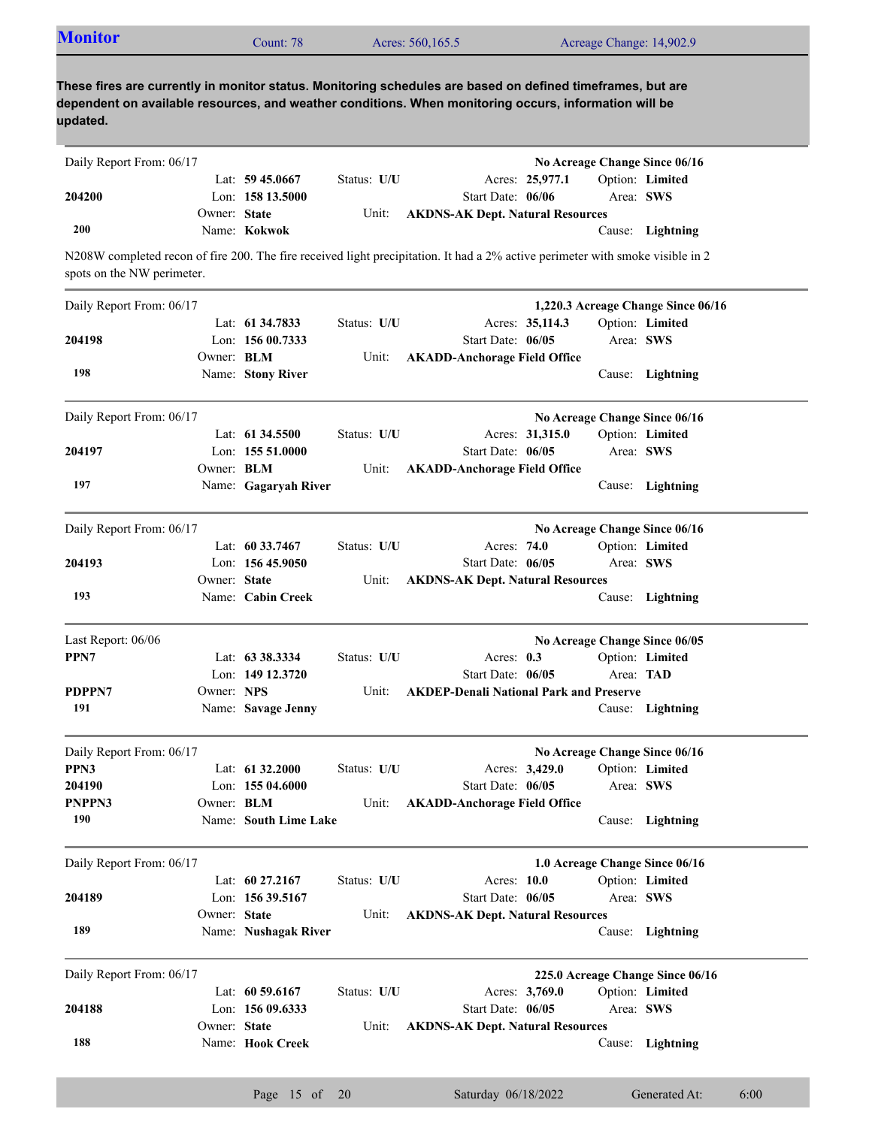| <b>Monitor</b>             |                   |                       |             |                                                                                                                                                                                                                     |                 |           |                                    |
|----------------------------|-------------------|-----------------------|-------------|---------------------------------------------------------------------------------------------------------------------------------------------------------------------------------------------------------------------|-----------------|-----------|------------------------------------|
|                            |                   | Count: 78             |             | Acres: 560,165.5                                                                                                                                                                                                    |                 |           | Acreage Change: 14,902.9           |
| updated.                   |                   |                       |             | These fires are currently in monitor status. Monitoring schedules are based on defined timeframes, but are<br>dependent on available resources, and weather conditions. When monitoring occurs, information will be |                 |           |                                    |
| Daily Report From: 06/17   |                   |                       |             |                                                                                                                                                                                                                     |                 |           | No Acreage Change Since 06/16      |
|                            |                   | Lat: $59\,45.0667$    | Status: U/U |                                                                                                                                                                                                                     | Acres: 25,977.1 |           | Option: Limited                    |
| 204200                     |                   | Lon: 158 13.5000      |             | Start Date: 06/06                                                                                                                                                                                                   |                 | Area: SWS |                                    |
|                            | Owner: State      |                       | Unit:       | <b>AKDNS-AK Dept. Natural Resources</b>                                                                                                                                                                             |                 |           |                                    |
| 200                        |                   | Name: Kokwok          |             |                                                                                                                                                                                                                     |                 |           | Cause: Lightning                   |
| spots on the NW perimeter. |                   |                       |             | N208W completed recon of fire 200. The fire received light precipitation. It had a 2% active perimeter with smoke visible in 2                                                                                      |                 |           |                                    |
| Daily Report From: 06/17   |                   |                       |             |                                                                                                                                                                                                                     |                 |           | 1,220.3 Acreage Change Since 06/16 |
|                            |                   | Lat: 61 34.7833       | Status: U/U |                                                                                                                                                                                                                     | Acres: 35,114.3 |           | Option: Limited                    |
| 204198                     |                   | Lon: 156 00.7333      |             | Start Date: 06/05                                                                                                                                                                                                   |                 | Area: SWS |                                    |
|                            | Owner: <b>BLM</b> |                       | Unit:       | <b>AKADD-Anchorage Field Office</b>                                                                                                                                                                                 |                 |           |                                    |
| 198                        |                   | Name: Stony River     |             |                                                                                                                                                                                                                     |                 |           | Cause: Lightning                   |
| Daily Report From: 06/17   |                   |                       |             |                                                                                                                                                                                                                     |                 |           | No Acreage Change Since 06/16      |
|                            |                   | Lat: $61\,34.5500$    | Status: U/U |                                                                                                                                                                                                                     | Acres: 31,315.0 |           | Option: Limited                    |
| 204197                     |                   | Lon: 155 51.0000      |             | Start Date: 06/05                                                                                                                                                                                                   |                 | Area: SWS |                                    |
|                            | Owner: <b>BLM</b> |                       | Unit:       | <b>AKADD-Anchorage Field Office</b>                                                                                                                                                                                 |                 |           |                                    |
| 197                        |                   | Name: Gagaryah River  |             |                                                                                                                                                                                                                     |                 |           | Cause: Lightning                   |
| Daily Report From: 06/17   |                   |                       |             |                                                                                                                                                                                                                     |                 |           | No Acreage Change Since 06/16      |
|                            |                   | Lat: 60 33.7467       | Status: U/U | Acres: 74.0                                                                                                                                                                                                         |                 |           | Option: Limited                    |
| 204193                     |                   | Lon: $15645.9050$     |             | Start Date: 06/05                                                                                                                                                                                                   |                 | Area: SWS |                                    |
|                            | Owner: State      |                       | Unit:       | <b>AKDNS-AK Dept. Natural Resources</b>                                                                                                                                                                             |                 |           |                                    |
| 193                        |                   | Name: Cabin Creek     |             |                                                                                                                                                                                                                     |                 |           | Cause: Lightning                   |
| Last Report: 06/06         |                   |                       |             |                                                                                                                                                                                                                     |                 |           | No Acreage Change Since 06/05      |
| PPN7                       |                   | Lat: 63 38.3334       | Status: U/U | Acres: $0.3$                                                                                                                                                                                                        |                 |           | Option: Limited                    |
|                            |                   | Lon: $149$ 12.3720    |             | Start Date: 06/05                                                                                                                                                                                                   |                 | Area: TAD |                                    |
| PDPPN7                     | Owner: NPS        |                       | Unit:       | <b>AKDEP-Denali National Park and Preserve</b>                                                                                                                                                                      |                 |           |                                    |
| 191                        |                   | Name: Savage Jenny    |             |                                                                                                                                                                                                                     |                 |           | Cause: Lightning                   |
| Daily Report From: 06/17   |                   |                       |             |                                                                                                                                                                                                                     |                 |           | No Acreage Change Since 06/16      |
| PPN3                       |                   | Lat: 61 32.2000       | Status: U/U |                                                                                                                                                                                                                     | Acres: 3,429.0  |           | Option: Limited                    |
| 204190                     |                   | Lon: 155 04.6000      |             | Start Date: 06/05                                                                                                                                                                                                   |                 | Area: SWS |                                    |
| PNPPN3                     | Owner: <b>BLM</b> |                       | Unit:       | <b>AKADD-Anchorage Field Office</b>                                                                                                                                                                                 |                 |           |                                    |
|                            |                   | Name: South Lime Lake |             |                                                                                                                                                                                                                     |                 |           |                                    |

| Daily Report From: 06/17                                     |              |                      |             |                                         |                | 1.0 Acreage Change Since 06/16 |                  |  |
|--------------------------------------------------------------|--------------|----------------------|-------------|-----------------------------------------|----------------|--------------------------------|------------------|--|
|                                                              |              | Lat: $60\,27.2167$   | Status: U/U | Acres: 10.0                             |                |                                | Option: Limited  |  |
| 204189                                                       |              | Lon: 156 39.5167     |             | Start Date: 06/05                       |                | Area: SWS                      |                  |  |
|                                                              | Owner: State |                      | Unit:       | <b>AKDNS-AK Dept. Natural Resources</b> |                |                                |                  |  |
| 189                                                          |              | Name: Nushagak River |             |                                         |                |                                | Cause: Lightning |  |
|                                                              |              |                      |             |                                         |                |                                |                  |  |
| Daily Report From: 06/17<br>225.0 Acreage Change Since 06/16 |              |                      |             |                                         |                |                                |                  |  |
|                                                              |              |                      |             |                                         |                |                                |                  |  |
|                                                              |              | Lat: $60\,59.6167$   | Status: U/U |                                         | Acres: 3,769.0 |                                | Option: Limited  |  |
| 204188                                                       |              | Lon: $15609.6333$    |             | Start Date: $06/05$                     |                | Area: SWS                      |                  |  |
|                                                              | Owner: State |                      | Unit:       | <b>AKDNS-AK Dept. Natural Resources</b> |                |                                |                  |  |
| 188                                                          |              | Name: Hook Creek     |             |                                         |                | Cause:                         | Lightning        |  |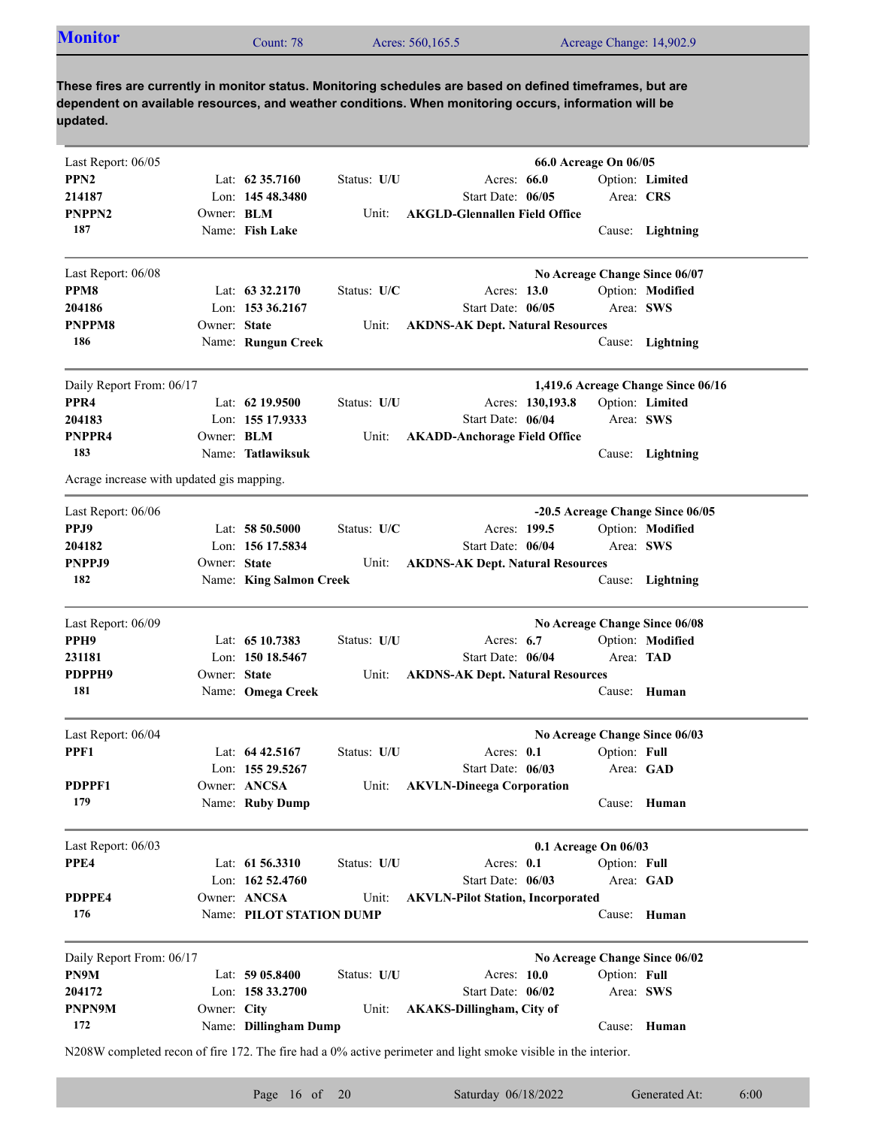| <b>Monitor</b><br>Acres: 560,165.5<br>Acreage Change: 14,902.9<br>.cunt: 78 |
|-----------------------------------------------------------------------------|
|-----------------------------------------------------------------------------|

| Last Report: 06/05                        |              |                          |             |                                                                                                                | 66.0 Acreage On 06/05         |                                    |
|-------------------------------------------|--------------|--------------------------|-------------|----------------------------------------------------------------------------------------------------------------|-------------------------------|------------------------------------|
| PPN <sub>2</sub>                          |              | Lat: $62\,35.7160$       | Status: U/U | Acres: $66.0$                                                                                                  |                               | Option: Limited                    |
| 214187                                    |              | Lon: 145 48.3480         |             | Start Date: 06/05                                                                                              | Area: CRS                     |                                    |
| PNPPN <sub>2</sub>                        | Owner: BLM   |                          | Unit:       | <b>AKGLD-Glennallen Field Office</b>                                                                           |                               |                                    |
| 187                                       |              | Name: Fish Lake          |             |                                                                                                                |                               | Cause: Lightning                   |
| Last Report: 06/08                        |              |                          |             |                                                                                                                | No Acreage Change Since 06/07 |                                    |
| PPM8                                      |              | Lat: $63\,32.2170$       | Status: U/C | Acres: 13.0                                                                                                    |                               | Option: Modified                   |
| 204186                                    |              | Lon: 153 36.2167         |             | Start Date: 06/05                                                                                              | Area: SWS                     |                                    |
| PNPPM8                                    | Owner: State |                          | Unit:       | <b>AKDNS-AK Dept. Natural Resources</b>                                                                        |                               |                                    |
| 186                                       |              | Name: Rungun Creek       |             |                                                                                                                |                               | Cause: Lightning                   |
| Daily Report From: 06/17                  |              |                          |             |                                                                                                                |                               | 1,419.6 Acreage Change Since 06/16 |
| PPR <sub>4</sub>                          |              | Lat: $62$ 19.9500        | Status: U/U | Acres: 130,193.8                                                                                               |                               | Option: Limited                    |
| 204183                                    |              | Lon: 155 17.9333         |             | Start Date: 06/04                                                                                              | Area: SWS                     |                                    |
| PNPPR4                                    | Owner: BLM   |                          | Unit:       | <b>AKADD-Anchorage Field Office</b>                                                                            |                               |                                    |
| 183                                       |              | Name: Tatlawiksuk        |             |                                                                                                                |                               | Cause: Lightning                   |
| Acrage increase with updated gis mapping. |              |                          |             |                                                                                                                |                               |                                    |
| Last Report: 06/06                        |              |                          |             |                                                                                                                |                               | -20.5 Acreage Change Since 06/05   |
| PPJ9                                      |              | Lat: 58 50.5000          | Status: U/C | Acres: 199.5                                                                                                   |                               | Option: Modified                   |
| 204182                                    |              | Lon: 156 17.5834         |             | Start Date: 06/04                                                                                              | Area: SWS                     |                                    |
| PNPPJ9                                    | Owner: State |                          | Unit:       | <b>AKDNS-AK Dept. Natural Resources</b>                                                                        |                               |                                    |
| 182                                       |              | Name: King Salmon Creek  |             |                                                                                                                |                               | Cause: Lightning                   |
| Last Report: 06/09                        |              |                          |             |                                                                                                                | No Acreage Change Since 06/08 |                                    |
| PPH <sub>9</sub>                          |              | Lat: $6510.7383$         | Status: U/U | Acres: $6.7$                                                                                                   |                               | Option: Modified                   |
| 231181                                    |              | Lon: 150 18.5467         |             | Start Date: 06/04                                                                                              | Area: TAD                     |                                    |
| PDPPH9                                    | Owner: State |                          | Unit:       | <b>AKDNS-AK Dept. Natural Resources</b>                                                                        |                               |                                    |
| 181                                       |              | Name: Omega Creek        |             |                                                                                                                |                               | Cause: Human                       |
| Last Report: 06/04                        |              |                          |             |                                                                                                                | No Acreage Change Since 06/03 |                                    |
| PPF1                                      |              | Lat: $64\,42.5167$       | Status: U/U | Acres: 0.1                                                                                                     | Option: Full                  |                                    |
|                                           |              | Lon: 155 29.5267         |             | Start Date: 06/03                                                                                              | Area: GAD                     |                                    |
| PDPPF1                                    |              | Owner: ANCSA             |             | Unit: AKVLN-Dineega Corporation                                                                                |                               |                                    |
| 179                                       |              | Name: Ruby Dump          |             |                                                                                                                |                               | Cause: Human                       |
| Last Report: 06/03                        |              |                          |             |                                                                                                                | 0.1 Acreage On 06/03          |                                    |
| PPE4                                      |              | Lat: 61 56.3310          | Status: U/U | Acres: 0.1                                                                                                     | Option: Full                  |                                    |
|                                           |              | Lon: 162 52.4760         |             | Start Date: 06/03                                                                                              |                               | Area: GAD                          |
| PDPPE4                                    |              | Owner: ANCSA             | Unit:       | <b>AKVLN-Pilot Station, Incorporated</b>                                                                       |                               |                                    |
| 176                                       |              | Name: PILOT STATION DUMP |             |                                                                                                                |                               | Cause: Human                       |
|                                           |              |                          |             |                                                                                                                |                               |                                    |
| Daily Report From: 06/17                  |              |                          |             |                                                                                                                | No Acreage Change Since 06/02 |                                    |
| PN9M                                      |              | Lat: 59 05.8400          | Status: U/U | Acres: 10.0                                                                                                    | Option: Full                  |                                    |
| 204172                                    |              | Lon: 158 33.2700         |             | Start Date: 06/02                                                                                              | Area: SWS                     |                                    |
| PNPN9M<br>172                             | Owner: City  | Name: Dillingham Dump    | Unit:       | <b>AKAKS-Dillingham, City of</b>                                                                               |                               | Cause: Human                       |
|                                           |              |                          |             | N208W completed recon of fire 172. The fire had a 0% active perimeter and light smoke visible in the interior. |                               |                                    |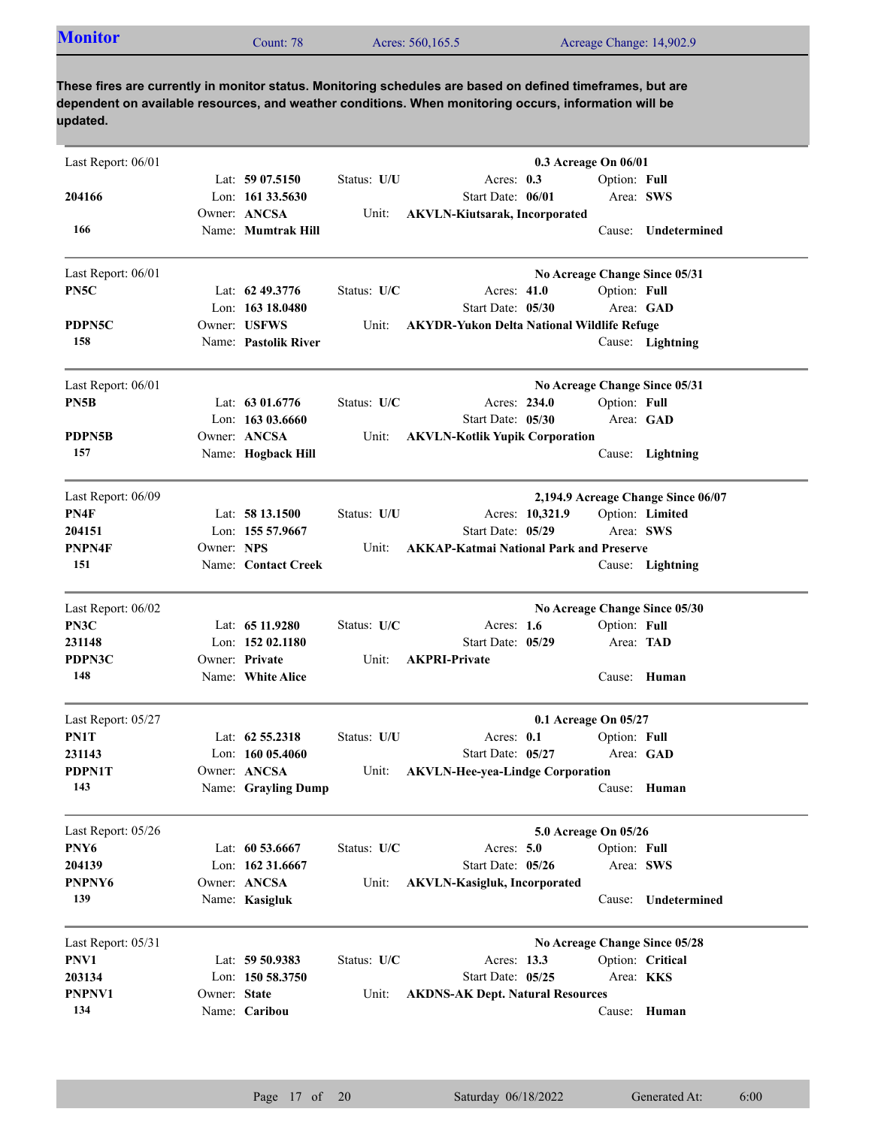|  | <b>Monitor</b><br>Acres: 560,165.5<br>Acreage Change: 14,902.9<br>Count: 78 |  |
|--|-----------------------------------------------------------------------------|--|
|--|-----------------------------------------------------------------------------|--|

| Last Report: 06/01 |              |                      |             | 0.3 Acreage On 06/01                              |                  |                                    |
|--------------------|--------------|----------------------|-------------|---------------------------------------------------|------------------|------------------------------------|
|                    |              | Lat: $5907.5150$     | Status: U/U | Acres: 0.3                                        | Option: Full     |                                    |
| 204166             |              | Lon: 161 33.5630     |             | Start Date: 06/01                                 | Area: SWS        |                                    |
|                    |              | Owner: ANCSA         | Unit:       | <b>AKVLN-Kiutsarak, Incorporated</b>              |                  |                                    |
| 166                |              | Name: Mumtrak Hill   |             |                                                   |                  | Cause: Undetermined                |
| Last Report: 06/01 |              |                      |             |                                                   |                  | No Acreage Change Since 05/31      |
| PN5C               |              | Lat: 62 49.3776      | Status: U/C | Acres: 41.0                                       | Option: Full     |                                    |
|                    |              | Lon: $16318.0480$    |             | Start Date: 05/30                                 | Area: GAD        |                                    |
| PDPN5C             |              | Owner: USFWS         | Unit:       | <b>AKYDR-Yukon Delta National Wildlife Refuge</b> |                  |                                    |
| 158                |              | Name: Pastolik River |             |                                                   |                  | Cause: Lightning                   |
| Last Report: 06/01 |              |                      |             |                                                   |                  | No Acreage Change Since 05/31      |
| PN5B               |              | Lat: $6301.6776$     | Status: U/C | Acres: 234.0                                      | Option: Full     |                                    |
|                    |              | Lon: $16303.6660$    |             | Start Date: 05/30                                 | Area: GAD        |                                    |
| PDPN5B             |              | Owner: ANCSA         | Unit:       | <b>AKVLN-Kotlik Yupik Corporation</b>             |                  |                                    |
| 157                |              | Name: Hogback Hill   |             |                                                   |                  | Cause: Lightning                   |
| Last Report: 06/09 |              |                      |             |                                                   |                  | 2,194.9 Acreage Change Since 06/07 |
| PN4F               |              | Lat: $5813.1500$     | Status: U/U | Acres: 10,321.9                                   |                  | Option: Limited                    |
| 204151             |              | Lon: 155 57.9667     |             | Start Date: 05/29                                 | Area: SWS        |                                    |
| PNPN4F             | Owner: NPS   |                      | Unit:       | <b>AKKAP-Katmai National Park and Preserve</b>    |                  |                                    |
| 151                |              | Name: Contact Creek  |             |                                                   |                  | Cause: Lightning                   |
| Last Report: 06/02 |              |                      |             |                                                   |                  | No Acreage Change Since 05/30      |
| PN3C               |              | Lat: $6511.9280$     | Status: U/C | Acres: 1.6                                        | Option: Full     |                                    |
| 231148             |              | Lon: 152 02.1180     |             | Start Date: 05/29                                 | Area: TAD        |                                    |
| PDPN3C             |              | Owner: Private       | Unit:       | <b>AKPRI-Private</b>                              |                  |                                    |
| 148                |              | Name: White Alice    |             |                                                   |                  | Cause: Human                       |
| Last Report: 05/27 |              |                      |             | 0.1 Acreage On 05/27                              |                  |                                    |
| PN1T               |              | Lat: $62\,55.2318$   | Status: U/U | Acres: 0.1                                        | Option: Full     |                                    |
| 231143             |              | Lon: $16005.4060$    |             | Start Date: 05/27                                 | Area: GAD        |                                    |
| PDPN1T             |              | Owner: ANCSA         | Unit:       | <b>AKVLN-Hee-yea-Lindge Corporation</b>           |                  |                                    |
| 143                |              | Name: Grayling Dump  |             |                                                   |                  | Cause: Human                       |
| Last Report: 05/26 |              |                      |             | 5.0 Acreage On 05/26                              |                  |                                    |
| PNY6               |              | Lat: 60 53.6667      | Status: U/C | Acres: 5.0                                        | Option: Full     |                                    |
| 204139             |              | Lon: 162 31.6667     |             | Start Date: 05/26                                 | Area: SWS        |                                    |
| PNPNY6             |              | Owner: ANCSA         | Unit:       | <b>AKVLN-Kasigluk, Incorporated</b>               |                  |                                    |
| 139                |              | Name: Kasigluk       |             |                                                   | Cause:           | Undetermined                       |
| Last Report: 05/31 |              |                      |             |                                                   |                  | No Acreage Change Since 05/28      |
| PNV1               |              | Lat: 59 50.9383      | Status: U/C | Acres: 13.3                                       |                  | Option: Critical                   |
| 203134             |              | Lon: 150 58.3750     |             | Start Date: 05/25                                 | Area: <b>KKS</b> |                                    |
| PNPNV1             | Owner: State |                      | Unit:       | <b>AKDNS-AK Dept. Natural Resources</b>           |                  |                                    |
| 134                |              | Name: Caribou        |             |                                                   |                  | Cause: Human                       |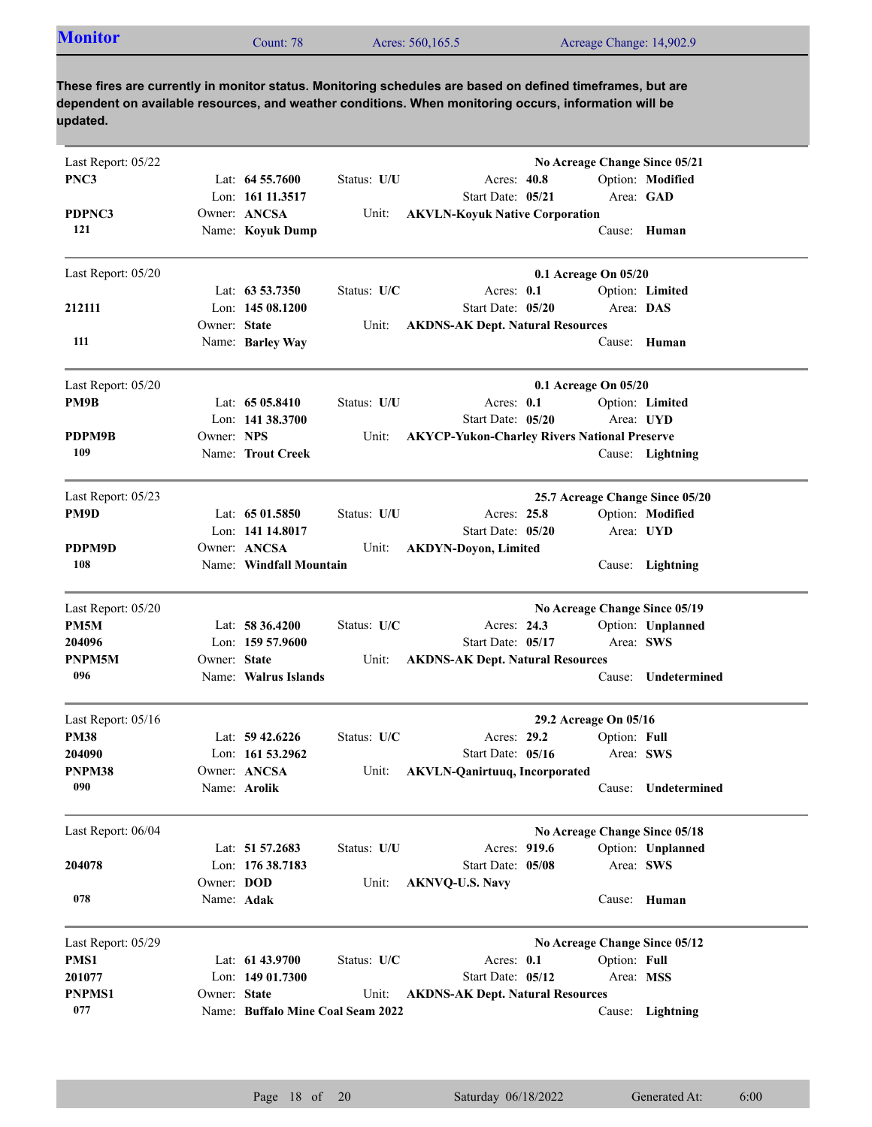| <b>Monitor</b><br>Acres: 560,165.5<br>Acreage Change: 14,902.9<br>Count: 78 |  |
|-----------------------------------------------------------------------------|--|
|-----------------------------------------------------------------------------|--|

| Last Report: 05/22 |              |                                   |             |                                                     | No Acreage Change Since 05/21   |                     |
|--------------------|--------------|-----------------------------------|-------------|-----------------------------------------------------|---------------------------------|---------------------|
| PNC3               |              | Lat: $64\,55.7600$                | Status: U/U | Acres: 40.8                                         |                                 | Option: Modified    |
|                    |              | Lon: 161 11.3517                  |             | Start Date: 05/21                                   | Area: GAD                       |                     |
| PDPNC3             |              | Owner: ANCSA                      | Unit:       | <b>AKVLN-Koyuk Native Corporation</b>               |                                 |                     |
| 121                |              | Name: Koyuk Dump                  |             |                                                     |                                 | Cause: Human        |
|                    |              |                                   |             |                                                     |                                 |                     |
| Last Report: 05/20 |              |                                   |             |                                                     | 0.1 Acreage On 05/20            |                     |
|                    |              | Lat: $63\,53.7350$                | Status: U/C | Acres: $0.1$                                        |                                 | Option: Limited     |
| 212111             |              | Lon: $14508.1200$                 |             | Start Date: 05/20                                   | Area: DAS                       |                     |
|                    | Owner: State |                                   | Unit:       | <b>AKDNS-AK Dept. Natural Resources</b>             |                                 |                     |
| 111                |              | Name: Barley Way                  |             |                                                     | Cause:                          | Human               |
|                    |              |                                   |             |                                                     |                                 |                     |
| Last Report: 05/20 |              |                                   |             |                                                     | 0.1 Acreage On 05/20            |                     |
| PM9B               |              | Lat: $6505.8410$                  | Status: U/U | Acres: 0.1                                          |                                 | Option: Limited     |
|                    |              | Lon: $141\,38.3700$               |             | Start Date: 05/20                                   |                                 | Area: UYD           |
| PDPM9B             | Owner: NPS   |                                   | Unit:       | <b>AKYCP-Yukon-Charley Rivers National Preserve</b> |                                 |                     |
| 109                |              | Name: Trout Creek                 |             |                                                     |                                 | Cause: Lightning    |
| Last Report: 05/23 |              |                                   |             |                                                     | 25.7 Acreage Change Since 05/20 |                     |
| PM9D               |              | Lat: $6501.5850$                  | Status: U/U | Acres: 25.8                                         |                                 | Option: Modified    |
|                    |              | Lon: 141 14.8017                  |             | Start Date: 05/20                                   |                                 | Area: UYD           |
| PDPM9D             |              | Owner: ANCSA                      | Unit:       | <b>AKDYN-Doyon, Limited</b>                         |                                 |                     |
| 108                |              | Name: Windfall Mountain           |             |                                                     |                                 | Cause: Lightning    |
| Last Report: 05/20 |              |                                   |             |                                                     | No Acreage Change Since 05/19   |                     |
| PM5M               |              | Lat: 58 36.4200                   | Status: U/C | Acres: 24.3                                         |                                 | Option: Unplanned   |
| 204096             |              | Lon: 159 57.9600                  |             | Start Date: 05/17                                   | Area: SWS                       |                     |
| PNPM5M             | Owner: State |                                   | Unit:       | <b>AKDNS-AK Dept. Natural Resources</b>             |                                 |                     |
| 096                |              | Name: Walrus Islands              |             |                                                     | Cause:                          | Undetermined        |
| Last Report: 05/16 |              |                                   |             |                                                     | 29.2 Acreage On 05/16           |                     |
| <b>PM38</b>        |              | Lat: $59\,42.6226$                | Status: U/C | Acres: 29.2                                         | Option: Full                    |                     |
| 204090             |              | Lon: $161\,53.2962$               |             | Start Date: 05/16                                   | Area: SWS                       |                     |
| PNPM38             |              | Owner: ANCSA                      | Unit:       | <b>AKVLN-Qanirtuuq, Incorporated</b>                |                                 |                     |
| 090                |              | Name: <b>Arolik</b>               |             |                                                     |                                 | Cause: Undetermined |
|                    |              |                                   |             |                                                     |                                 |                     |
| Last Report: 06/04 |              | Lat: 51 57.2683                   | Status: U/U | Acres: 919.6                                        | No Acreage Change Since 05/18   | Option: Unplanned   |
| 204078             |              | Lon: 176 38.7183                  |             | Start Date: 05/08                                   | Area: SWS                       |                     |
|                    | Owner: DOD   |                                   | Unit:       |                                                     |                                 |                     |
| 078                | Name: Adak   |                                   |             | <b>AKNVQ-U.S. Navy</b>                              |                                 | Cause: Human        |
|                    |              |                                   |             |                                                     |                                 |                     |
| Last Report: 05/29 |              |                                   |             |                                                     | No Acreage Change Since 05/12   |                     |
| PMS1               |              | Lat: 61 43.9700                   | Status: U/C | Acres: 0.1                                          | Option: Full                    |                     |
| 201077             |              | Lon: 149 01.7300                  |             | Start Date: 05/12                                   | Area: MSS                       |                     |
| <b>PNPMS1</b>      | Owner: State |                                   | Unit:       | <b>AKDNS-AK Dept. Natural Resources</b>             |                                 |                     |
| 077                |              | Name: Buffalo Mine Coal Seam 2022 |             |                                                     |                                 | Cause: Lightning    |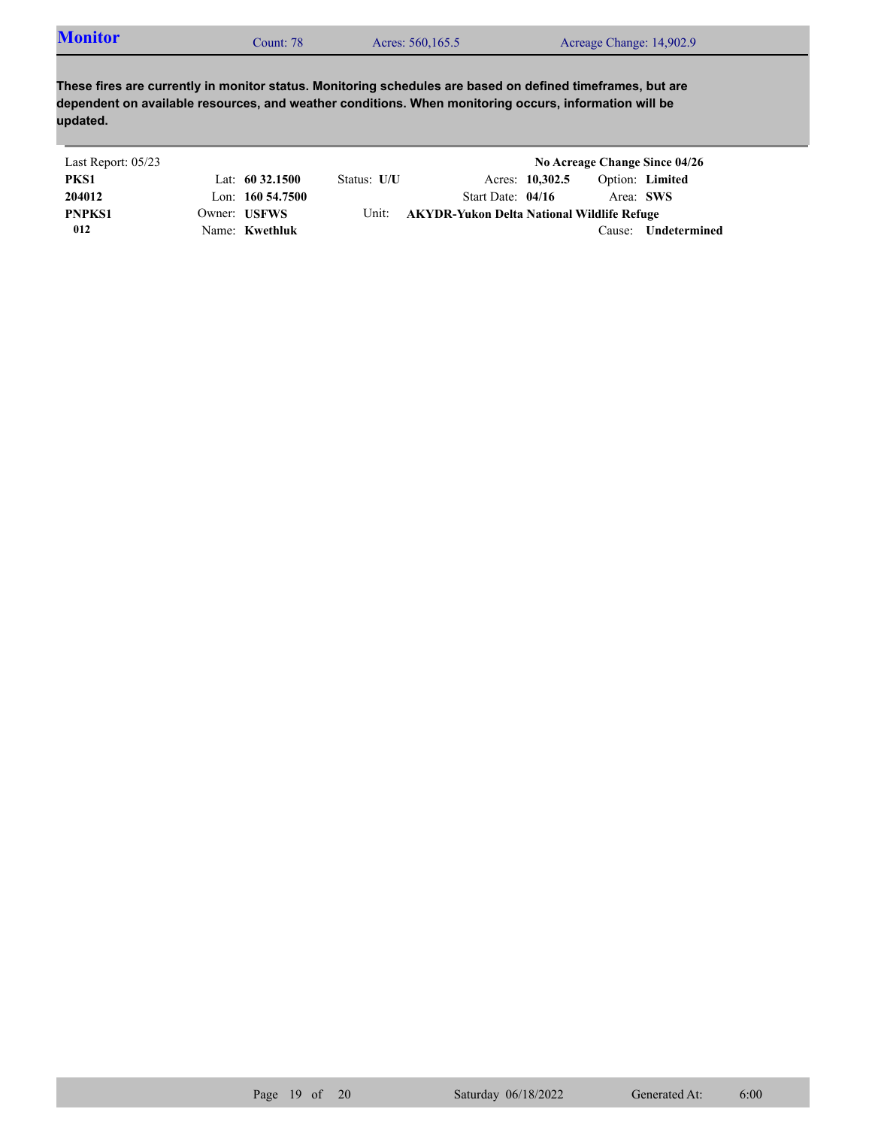| <b>Monitor</b><br>Acres: 560,165.5<br>Acreage Change: 14,902.9<br>Count: 78 |  |
|-----------------------------------------------------------------------------|--|
|-----------------------------------------------------------------------------|--|

| Last Report: 05/23 |                     |             |                                            |                 |           | No Acreage Change Since 04/26 |
|--------------------|---------------------|-------------|--------------------------------------------|-----------------|-----------|-------------------------------|
| PKS1               | Lat: $60\,32.1500$  | Status: U/U |                                            | Acres: 10,302.5 |           | Option: Limited               |
| 204012             | Lon: $160\,54.7500$ |             | Start Date: $04/16$                        |                 | Area: SWS |                               |
| <b>PNPKS1</b>      | Owner: USFWS        | Unit:       | AKYDR-Yukon Delta National Wildlife Refuge |                 |           |                               |
| 012                | Name: Kwethluk      |             |                                            |                 | Cause:    | Undetermined                  |